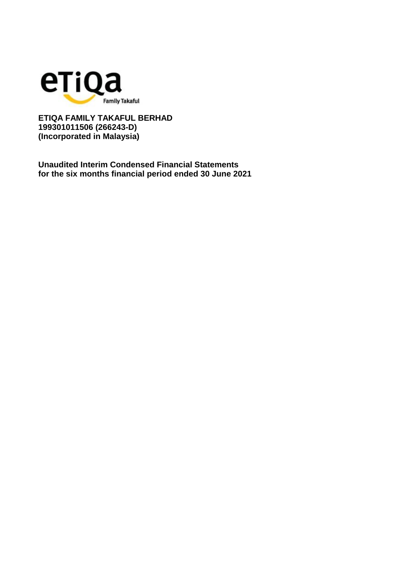

**Unaudited Interim Condensed Financial Statements for the six months financial period ended 30 June 2021**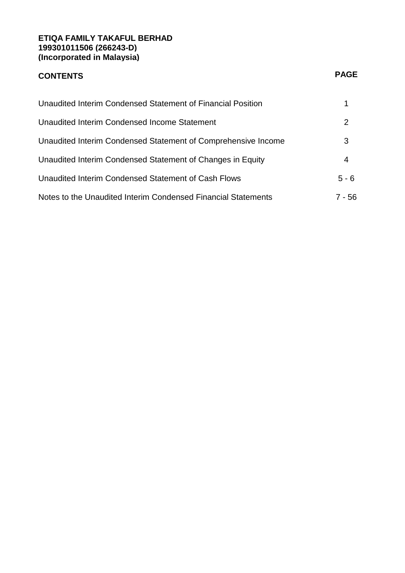# **CONTENTS PAGE**

| Unaudited Interim Condensed Statement of Financial Position   |         |
|---------------------------------------------------------------|---------|
| Unaudited Interim Condensed Income Statement                  | 2       |
| Unaudited Interim Condensed Statement of Comprehensive Income | 3       |
| Unaudited Interim Condensed Statement of Changes in Equity    | 4       |
| Unaudited Interim Condensed Statement of Cash Flows           | $5 - 6$ |
| Notes to the Unaudited Interim Condensed Financial Statements | 7 - 56  |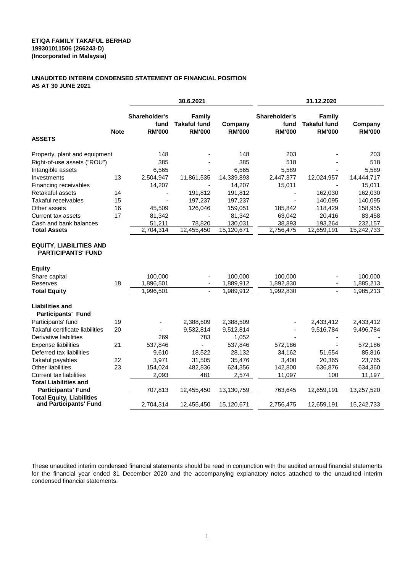#### **UNAUDITED INTERIM CONDENSED STATEMENT OF FINANCIAL POSITION AS AT 30 JUNE 2021**

|                                                             |             | 30.6.2021                              |                                                |                          | 31.12.2020                             |                                                |                          |  |
|-------------------------------------------------------------|-------------|----------------------------------------|------------------------------------------------|--------------------------|----------------------------------------|------------------------------------------------|--------------------------|--|
| <b>ASSETS</b>                                               | <b>Note</b> | Shareholder's<br>fund<br><b>RM'000</b> | Family<br><b>Takaful fund</b><br><b>RM'000</b> | Company<br><b>RM'000</b> | Shareholder's<br>fund<br><b>RM'000</b> | Family<br><b>Takaful fund</b><br><b>RM'000</b> | Company<br><b>RM'000</b> |  |
|                                                             |             |                                        |                                                |                          |                                        |                                                |                          |  |
| Property, plant and equipment                               |             | 148                                    |                                                | 148                      | 203                                    |                                                | 203                      |  |
| Right-of-use assets ("ROU")                                 |             | 385                                    |                                                | 385                      | 518                                    |                                                | 518                      |  |
| Intangible assets                                           |             | 6,565                                  |                                                | 6,565                    | 5,589                                  |                                                | 5,589                    |  |
| Investments                                                 | 13          | 2,504,947                              | 11,861,535                                     | 14,339,893               | 2,447,377                              | 12,024,957                                     | 14,444,717               |  |
| Financing receivables                                       |             | 14,207                                 |                                                | 14,207                   | 15,011                                 |                                                | 15,011                   |  |
| Retakaful assets                                            | 14          |                                        | 191,812                                        | 191,812                  |                                        | 162,030                                        | 162,030                  |  |
| <b>Takaful receivables</b>                                  | 15          |                                        | 197,237                                        | 197,237                  |                                        | 140,095                                        | 140,095                  |  |
| Other assets                                                | 16          | 45,509                                 | 126,046                                        | 159,051                  | 185,842                                | 118,429                                        | 158,955                  |  |
| Current tax assets                                          | 17          | 81,342                                 |                                                | 81,342                   | 63,042                                 | 20,416                                         | 83,458                   |  |
| Cash and bank balances                                      |             | 51,211                                 | 78,820                                         | 130,031                  | 38,893                                 | 193,264                                        | 232,157                  |  |
| <b>Total Assets</b>                                         |             | 2,704,314                              | 12,455,450                                     | 15,120,671               | 2,756,475                              | 12,659,191                                     | 15,242,733               |  |
| <b>EQUITY, LIABILITIES AND</b><br><b>PARTICIPANTS' FUND</b> |             |                                        |                                                |                          |                                        |                                                |                          |  |
| <b>Equity</b>                                               |             |                                        |                                                |                          |                                        |                                                |                          |  |
| Share capital                                               |             | 100,000                                |                                                | 100,000                  | 100,000                                |                                                | 100,000                  |  |
| Reserves                                                    | 18          | 1,896,501                              |                                                | 1,889,912                | 1,892,830                              |                                                | 1,885,213                |  |
| <b>Total Equity</b>                                         |             | 1,996,501                              |                                                | 1,989,912                | 1,992,830                              |                                                | 1,985,213                |  |
| <b>Liabilities and</b><br><b>Participants' Fund</b>         |             |                                        |                                                |                          |                                        |                                                |                          |  |
| Participants' fund                                          | 19          |                                        | 2,388,509                                      | 2,388,509                |                                        | 2,433,412                                      | 2,433,412                |  |
| Takaful certificate liabilities                             | 20          |                                        | 9,532,814                                      | 9,512,814                |                                        | 9,516,784                                      | 9,496,784                |  |
| Derivative liabilities                                      |             | 269                                    | 783                                            | 1,052                    |                                        |                                                |                          |  |
| <b>Expense liabilities</b>                                  | 21          | 537,846                                |                                                | 537,846                  | 572,186                                |                                                | 572,186                  |  |
| Deferred tax liabilities                                    |             | 9,610                                  | 18,522                                         | 28,132                   | 34,162                                 | 51,654                                         | 85,816                   |  |
| Takaful payables                                            | 22          | 3,971                                  | 31,505                                         | 35,476                   | 3,400                                  | 20,365                                         | 23,765                   |  |
| <b>Other liabilities</b>                                    | 23          | 154,024                                | 482,836                                        | 624,356                  | 142,800                                | 636,876                                        | 634,360                  |  |
| <b>Current tax liabilities</b>                              |             | 2,093                                  | 481                                            | 2,574                    | 11,097                                 | 100                                            | 11,197                   |  |
| <b>Total Liabilities and</b>                                |             |                                        |                                                |                          |                                        |                                                |                          |  |
| <b>Participants' Fund</b>                                   |             | 707,813                                | 12,455,450                                     | 13,130,759               | 763,645                                | 12,659,191                                     | 13,257,520               |  |
| <b>Total Equity, Liabilities</b><br>and Participants' Fund  |             | 2,704,314                              | 12,455,450                                     | 15,120,671               | 2,756,475                              | 12,659,191                                     | 15,242,733               |  |

These unaudited interim condensed financial statements should be read in conjunction with the audited annual financial statements for the financial year ended 31 December 2020 and the accompanying explanatory notes attached to the unaudited interim condensed financial statements.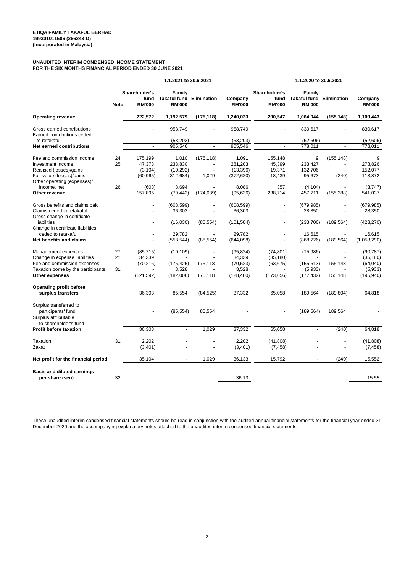#### **UNAUDITED INTERIM CONDENSED INCOME STATEMENT FOR THE SIX MONTHS FINANCIAL PERIOD ENDED 30 JUNE 2021**

|                                                          |             | 1.1.2021 to 30.6.2021                  |                                                            |            |                          | 1.1.2020 to 30.6.2020                  |                                                            |            |                          |
|----------------------------------------------------------|-------------|----------------------------------------|------------------------------------------------------------|------------|--------------------------|----------------------------------------|------------------------------------------------------------|------------|--------------------------|
|                                                          | <b>Note</b> | Shareholder's<br>fund<br><b>RM'000</b> | Family<br><b>Takaful fund Elimination</b><br><b>RM'000</b> |            | Company<br><b>RM'000</b> | Shareholder's<br>fund<br><b>RM'000</b> | Family<br><b>Takaful fund Elimination</b><br><b>RM'000</b> |            | Company<br><b>RM'000</b> |
| <b>Operating revenue</b>                                 |             | 222,572                                | 1,192,579                                                  | (175, 118) | 1,240,033                | 200,547                                | 1,064,044                                                  | (155, 148) | 1,109,443                |
| Gross earned contributions<br>Earned contributions ceded |             |                                        | 958,749                                                    |            | 958,749                  |                                        | 830,617                                                    |            | 830,617                  |
| to retakaful                                             |             |                                        | (53, 203)                                                  |            | (53, 203)                |                                        | (52,606)                                                   |            | (52, 606)                |
| Net earned contributions                                 |             | $\overline{\phantom{a}}$               | 905,546                                                    |            | 905,546                  | $\overline{a}$                         | 778,011                                                    |            | 778,011                  |
| Fee and commission income                                |             |                                        |                                                            |            |                          |                                        |                                                            |            | 9                        |
|                                                          | 24<br>25    | 175,199                                | 1,010                                                      | (175, 118) | 1,091                    | 155,148                                | 9                                                          | (155, 148) |                          |
| Investment income                                        |             | 47,373                                 | 233,830                                                    |            | 281,203                  | 45,399                                 | 233,427                                                    |            | 278,826                  |
| Realised (losses)/gains                                  |             | (3, 104)                               | (10, 292)                                                  |            | (13, 396)                | 19,371                                 | 132,706                                                    |            | 152,077                  |
| Fair value (losses)/gains                                |             | (60, 965)                              | (312, 684)                                                 | 1,029      | (372, 620)               | 18,439                                 | 95,673                                                     | (240)      | 113,872                  |
| Other operating (expenses)/                              |             |                                        |                                                            |            |                          |                                        |                                                            |            |                          |
| income, net                                              | 26          | (608)                                  | 8,694                                                      |            | 8,086                    | 357                                    | (4, 104)                                                   |            | (3,747)                  |
| Other revenue                                            |             | 157,895                                | (79, 442)                                                  | (174, 089) | (95, 636)                | 238,714                                | 457,711                                                    | (155, 388) | 541,037                  |
| Gross benefits and claims paid                           |             |                                        | (608, 599)                                                 |            | (608, 599)               |                                        | (679, 985)                                                 |            | (679, 985)               |
| Claims ceded to retakaful                                |             |                                        | 36,303                                                     |            | 36,303                   |                                        | 28,350                                                     |            | 28,350                   |
| Gross change in certificate                              |             |                                        |                                                            |            |                          |                                        |                                                            |            |                          |
| liabilities                                              |             |                                        |                                                            |            |                          |                                        |                                                            |            |                          |
|                                                          |             |                                        | (16,030)                                                   | (85, 554)  | (101, 584)               |                                        | (233, 706)                                                 | (189, 564) | (423, 270)               |
| Change in certificate liabilities                        |             |                                        |                                                            |            |                          |                                        |                                                            |            |                          |
| ceded to retakaful                                       |             |                                        | 29,782                                                     |            | 29,782                   |                                        | 16,615                                                     |            | 16,615                   |
| Net benefits and claims                                  |             | $\mathbf{r}$                           | (558, 544)                                                 | (85, 554)  | (644.098)                | $\mathbf{r}$                           | (868, 726)                                                 | (189, 564) | (1,058,290)              |
| Management expenses                                      | 27          | (85, 715)                              | (10, 109)                                                  |            | (95, 824)                | (74, 801)                              | (15,986)                                                   |            | (90, 787)                |
| Change in expense liabilities                            | 21          | 34,339                                 |                                                            |            | 34,339                   | (35, 180)                              |                                                            |            | (35, 180)                |
|                                                          |             |                                        |                                                            |            |                          |                                        |                                                            |            |                          |
| Fee and commission expenses                              |             | (70, 216)                              | (175, 425)                                                 | 175,118    | (70, 523)                | (63, 675)                              | (155, 513)                                                 | 155,148    | (64,040)                 |
| Taxation borne by the participants                       | 31          |                                        | 3,528                                                      |            | 3,528                    |                                        | (5,933)                                                    |            | (5,933)                  |
| Other expenses                                           |             | (121, 592)                             | (182,006)                                                  | 175,118    | (128, 480)               | (173, 656)                             | (177, 432)                                                 | 155,148    | (195, 940)               |
| Operating profit before                                  |             |                                        |                                                            |            |                          |                                        |                                                            |            |                          |
| surplus transfers                                        |             | 36,303                                 | 85,554                                                     | (84, 525)  | 37,332                   | 65,058                                 | 189,564                                                    | (189, 804) | 64,818                   |
| Surplus transferred to                                   |             |                                        |                                                            |            |                          |                                        |                                                            |            |                          |
| participants' fund                                       |             |                                        | (85, 554)                                                  | 85,554     |                          |                                        | (189, 564)                                                 | 189,564    |                          |
| Surplus attributable                                     |             |                                        |                                                            |            |                          |                                        |                                                            |            |                          |
|                                                          |             |                                        |                                                            |            |                          |                                        |                                                            |            |                          |
| to shareholder's fund                                    |             |                                        |                                                            |            |                          |                                        |                                                            |            |                          |
| Profit before taxation                                   |             | 36,303                                 |                                                            | 1,029      | 37,332                   | 65,058                                 |                                                            | (240)      | 64,818                   |
| Taxation                                                 | 31          | 2,202                                  |                                                            |            | 2,202                    | (41, 808)                              |                                                            |            | (41, 808)                |
| Zakat                                                    |             | (3,401)                                |                                                            |            | (3,401)                  | (7, 458)                               |                                                            |            | (7, 458)                 |
|                                                          |             |                                        |                                                            |            |                          |                                        |                                                            |            |                          |
| Net profit for the financial period                      |             | 35,104                                 | ÷,                                                         | 1.029      | 36,133                   | 15,792                                 | $\blacksquare$                                             | (240)      | 15,552                   |
| <b>Basic and diluted earnings</b>                        |             |                                        |                                                            |            |                          |                                        |                                                            |            |                          |
| per share (sen)                                          | 32          |                                        |                                                            |            | 36.13                    |                                        |                                                            |            | 15.55                    |
|                                                          |             |                                        |                                                            |            |                          |                                        |                                                            |            |                          |

These unaudited interim condensed financial statements should be read in conjunction with the audited annual financial statements for the financial year ended 31 December 2020 and the accompanying explanatory notes attached to the unaudited interim condensed financial statements.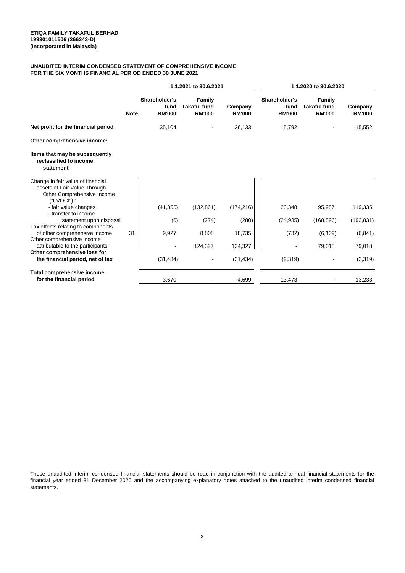#### **FOR THE SIX MONTHS FINANCIAL PERIOD ENDED 30 JUNE 2021 UNAUDITED INTERIM CONDENSED STATEMENT OF COMPREHENSIVE INCOME**

|                                                                                                                  |             | 1.1.2021 to 30.6.2021                  |                                                |                          | 1.1.2020 to 30.6.2020                  |                                                |                          |
|------------------------------------------------------------------------------------------------------------------|-------------|----------------------------------------|------------------------------------------------|--------------------------|----------------------------------------|------------------------------------------------|--------------------------|
|                                                                                                                  | <b>Note</b> | Shareholder's<br>fund<br><b>RM'000</b> | Family<br><b>Takaful fund</b><br><b>RM'000</b> | Company<br><b>RM'000</b> | Shareholder's<br>fund<br><b>RM'000</b> | Family<br><b>Takaful fund</b><br><b>RM'000</b> | Company<br><b>RM'000</b> |
| Net profit for the financial period                                                                              |             | 35,104                                 |                                                | 36,133                   | 15,792                                 |                                                | 15,552                   |
| Other comprehensive income:                                                                                      |             |                                        |                                                |                          |                                        |                                                |                          |
| Items that may be subsequently<br>reclassified to income<br>statement                                            |             |                                        |                                                |                          |                                        |                                                |                          |
| Change in fair value of financial<br>assets at Fair Value Through<br>Other Comprehensive Income<br>$('FVOCI')$ : |             |                                        |                                                |                          |                                        |                                                |                          |
| - fair value changes<br>- transfer to income                                                                     |             | (41, 355)                              | (132, 861)                                     | (174, 216)               | 23,348                                 | 95,987                                         | 119,335                  |
| statement upon disposal                                                                                          |             | (6)                                    | (274)                                          | (280)                    | (24, 935)                              | (168, 896)                                     | (193, 831)               |
| Tax effects relating to components<br>of other comprehensive income<br>Other comprehensive income                | 31          | 9,927                                  | 8,808                                          | 18,735                   | (732)                                  | (6, 109)                                       | (6, 841)                 |
| attributable to the participants                                                                                 |             |                                        | 124,327                                        | 124,327                  |                                        | 79,018                                         | 79,018                   |
| Other comprehensive loss for<br>the financial period, net of tax                                                 |             | (31, 434)                              |                                                | (31, 434)                | (2,319)                                |                                                | (2,319)                  |
| <b>Total comprehensive income</b><br>for the financial period                                                    |             | 3,670                                  |                                                | 4,699                    | 13,473                                 |                                                | 13,233                   |

These unaudited interim condensed financial statements should be read in conjunction with the audited annual financial statements for the financial year ended 31 December 2020 and the accompanying explanatory notes attached to the unaudited interim condensed financial statements.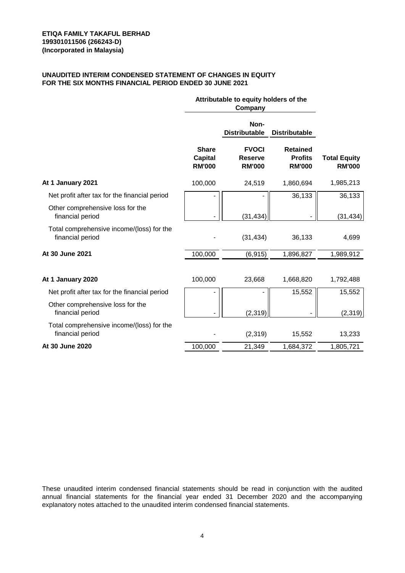#### **UNAUDITED INTERIM CONDENSED STATEMENT OF CHANGES IN EQUITY FOR THE SIX MONTHS FINANCIAL PERIOD ENDED 30 JUNE 2021**

|                                                               | Attributable to equity holders of the           |                                                 |                                                    |                                      |
|---------------------------------------------------------------|-------------------------------------------------|-------------------------------------------------|----------------------------------------------------|--------------------------------------|
|                                                               |                                                 | Non-<br><b>Distributable</b>                    | <b>Distributable</b>                               |                                      |
|                                                               | <b>Share</b><br><b>Capital</b><br><b>RM'000</b> | <b>FVOCI</b><br><b>Reserve</b><br><b>RM'000</b> | <b>Retained</b><br><b>Profits</b><br><b>RM'000</b> | <b>Total Equity</b><br><b>RM'000</b> |
| At 1 January 2021                                             | 100,000                                         | 24,519                                          | 1,860,694                                          | 1,985,213                            |
| Net profit after tax for the financial period                 |                                                 |                                                 | 36,133                                             | 36,133                               |
| Other comprehensive loss for the<br>financial period          |                                                 | (31, 434)                                       |                                                    | (31, 434)                            |
| Total comprehensive income/(loss) for the<br>financial period |                                                 | (31, 434)                                       | 36,133                                             | 4,699                                |
| At 30 June 2021                                               | 100,000                                         | (6, 915)                                        | 1,896,827                                          | 1,989,912                            |
| At 1 January 2020                                             | 100,000                                         | 23,668                                          | 1,668,820                                          | 1,792,488                            |
| Net profit after tax for the financial period                 |                                                 |                                                 | 15,552                                             | 15,552                               |
| Other comprehensive loss for the<br>financial period          |                                                 | (2, 319)                                        |                                                    | (2,319)                              |
| Total comprehensive income/(loss) for the<br>financial period |                                                 | (2,319)                                         | 15,552                                             | 13,233                               |
| At 30 June 2020                                               | 100,000                                         | 21,349                                          | 1,684,372                                          | 1,805,721                            |

These unaudited interim condensed financial statements should be read in conjunction with the audited annual financial statements for the financial year ended 31 December 2020 and the accompanying explanatory notes attached to the unaudited interim condensed financial statements.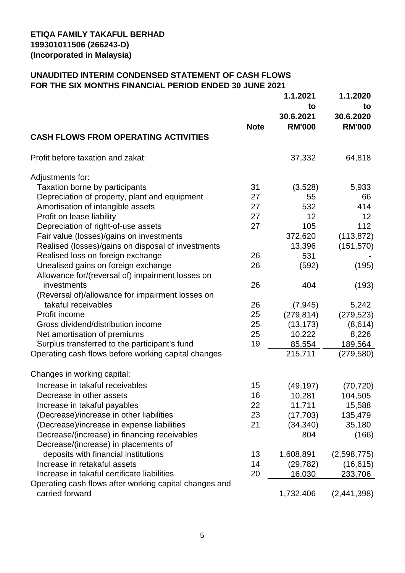## **UNAUDITED INTERIM CONDENSED STATEMENT OF CASH FLOWS FOR THE SIX MONTHS FINANCIAL PERIOD ENDED 30 JUNE 2021**

|                                                        |             | 1.1.2021<br>to<br>30.6.2021 | 1.1.2020<br>to<br>30.6.2020 |
|--------------------------------------------------------|-------------|-----------------------------|-----------------------------|
|                                                        | <b>Note</b> | <b>RM'000</b>               | <b>RM'000</b>               |
| <b>CASH FLOWS FROM OPERATING ACTIVITIES</b>            |             |                             |                             |
| Profit before taxation and zakat:                      |             | 37,332                      | 64,818                      |
| Adjustments for:                                       |             |                             |                             |
| <b>Taxation borne by participants</b>                  | 31          | (3,528)                     | 5,933                       |
| Depreciation of property, plant and equipment          | 27          | 55                          | 66                          |
| Amortisation of intangible assets                      | 27          | 532                         | 414                         |
| Profit on lease liability                              | 27          | 12 <sup>2</sup>             | 12 <sub>2</sub>             |
| Depreciation of right-of-use assets                    | 27          | 105                         | 112                         |
| Fair value (losses)/gains on investments               |             | 372,620                     | (113, 872)                  |
| Realised (losses)/gains on disposal of investments     |             | 13,396                      | (151, 570)                  |
| Realised loss on foreign exchange                      | 26          | 531                         |                             |
| Unealised gains on foreign exchange                    | 26          | (592)                       | (195)                       |
| Allowance for/(reversal of) impairment losses on       |             |                             |                             |
| investments                                            | 26          | 404                         | (193)                       |
| (Reversal of)/allowance for impairment losses on       |             |                             |                             |
| takaful receivables                                    | 26          | (7, 945)                    | 5,242                       |
| Profit income                                          | 25          | (279, 814)                  | (279, 523)                  |
| Gross dividend/distribution income                     | 25          | (13, 173)                   | (8,614)                     |
| Net amortisation of premiums                           | 25          | 10,222                      | 8,226                       |
| Surplus transferred to the participant's fund          | 19          | 85,554                      | 189,564                     |
| Operating cash flows before working capital changes    |             | 215,711                     | (279, 580)                  |
| Changes in working capital:                            |             |                             |                             |
| Increase in takaful receivables                        | 15          | (49, 197)                   | (70, 720)                   |
| Decrease in other assets                               | 16          | 10,281                      | 104,505                     |
| Increase in takaful payables                           | 22          | 11,711                      | 15,588                      |
| (Decrease)/increase in other liabilities               | 23          | (17, 703)                   | 135,479                     |
| (Decrease)/increase in expense liabilities             | 21          | (34, 340)                   | 35,180                      |
| Decrease/(increase) in financing receivables           |             | 804                         | (166)                       |
| Decrease/(increase) in placements of                   |             |                             |                             |
| deposits with financial institutions                   | 13          | 1,608,891                   | (2,598,775)                 |
| Increase in retakaful assets                           | 14          | (29, 782)                   | (16, 615)                   |
| Increase in takaful certificate liabilities            | 20          | 16,030                      | 233,706                     |
| Operating cash flows after working capital changes and |             |                             |                             |
| carried forward                                        |             | 1,732,406                   | (2,441,398)                 |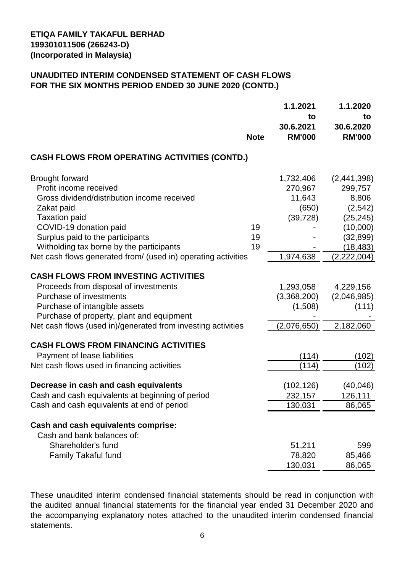#### **UNAUDITED INTERIM CONDENSED STATEMENT OF CASH FLOWS FOR THE SIX MONTHS PERIOD ENDED 30 JUNE 2020 (CONTD.)**

|                                                                                                                                                                                                                                                                                                                  | <b>Note</b>    | 1.1.2021<br>to<br>30.6.2021<br><b>RM'000</b>                      | 1.1.2020<br>to<br>30.6.2020<br><b>RM'000</b>                                                                  |
|------------------------------------------------------------------------------------------------------------------------------------------------------------------------------------------------------------------------------------------------------------------------------------------------------------------|----------------|-------------------------------------------------------------------|---------------------------------------------------------------------------------------------------------------|
| <b>CASH FLOWS FROM OPERATING ACTIVITIES (CONTD.)</b>                                                                                                                                                                                                                                                             |                |                                                                   |                                                                                                               |
| <b>Brought forward</b><br>Profit income received<br>Gross dividend/distribution income received<br>Zakat paid<br><b>Taxation paid</b><br>COVID-19 donation paid<br>Surplus paid to the participants<br>Witholding tax borne by the participants<br>Net cash flows generated from/ (used in) operating activities | 19<br>19<br>19 | 1,732,406<br>270,967<br>11,643<br>(650)<br>(39, 728)<br>1,974,638 | (2,441,398)<br>299,757<br>8,806<br>(2, 542)<br>(25, 245)<br>(10,000)<br>(32, 899)<br>(18, 483)<br>(2,222,004) |
| <b>CASH FLOWS FROM INVESTING ACTIVITIES</b><br>Proceeds from disposal of investments<br>Purchase of investments<br>Purchase of intangible assets<br>Purchase of property, plant and equipment<br>Net cash flows (used in)/generated from investing activities                                                    |                | 1,293,058<br>(3,368,200)<br>(1,508)<br>(2,076,650)                | 4,229,156<br>(2,046,985)<br>(111)<br>2,182,060                                                                |
| <b>CASH FLOWS FROM FINANCING ACTIVITIES</b><br>Payment of lease liabilities<br>Net cash flows used in financing activities                                                                                                                                                                                       |                | (114)<br>(114)                                                    | (102)<br>(102)                                                                                                |
| Decrease in cash and cash equivalents<br>Cash and cash equivalents at beginning of period<br>Cash and cash equivalents at end of period                                                                                                                                                                          |                | (102, 126)<br>232,157<br>130,031                                  | (40, 046)<br>126,111<br>86,065                                                                                |
| Cash and cash equivalents comprise:<br>Cash and bank balances of:<br>Shareholder's fund<br><b>Family Takaful fund</b>                                                                                                                                                                                            |                | 51,211<br>78,820<br>130,031                                       | 599<br>85,466<br>86,065                                                                                       |

These unaudited interim condensed financial statements should be read in conjunction with the audited annual financial statements for the financial year ended 31 December 2020 and the accompanying explanatory notes attached to the unaudited interim condensed financial statements.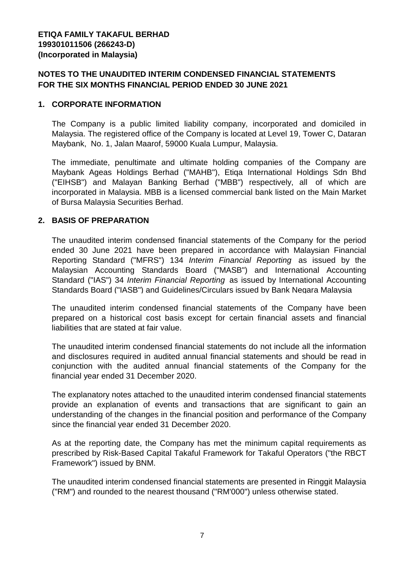#### **NOTES TO THE UNAUDITED INTERIM CONDENSED FINANCIAL STATEMENTS FOR THE SIX MONTHS FINANCIAL PERIOD ENDED 30 JUNE 2021**

#### **1. CORPORATE INFORMATION**

The Company is a public limited liability company, incorporated and domiciled in Malaysia. The registered office of the Company is located at Level 19, Tower C, Dataran Maybank, No. 1, Jalan Maarof, 59000 Kuala Lumpur, Malaysia.

The immediate, penultimate and ultimate holding companies of the Company are Maybank Ageas Holdings Berhad ("MAHB"), Etiqa International Holdings Sdn Bhd ("EIHSB") and Malayan Banking Berhad ("MBB") respectively, all of which are incorporated in Malaysia. MBB is a licensed commercial bank listed on the Main Market of Bursa Malaysia Securities Berhad.

#### **2. BASIS OF PREPARATION**

The unaudited interim condensed financial statements of the Company for the period ended 30 June 2021 have been prepared in accordance with Malaysian Financial Reporting Standard ("MFRS") 134 *Interim Financial Reporting* as issued by the Malaysian Accounting Standards Board ("MASB") and International Accounting Standard ("IAS") 34 *Interim Financial Reporting* as issued by International Accounting Standards Board ("IASB") and Guidelines/Circulars issued by Bank Negara Malaysia

The unaudited interim condensed financial statements of the Company have been prepared on a historical cost basis except for certain financial assets and financial liabilities that are stated at fair value.

The unaudited interim condensed financial statements do not include all the information and disclosures required in audited annual financial statements and should be read in conjunction with the audited annual financial statements of the Company for the financial year ended 31 December 2020.

The explanatory notes attached to the unaudited interim condensed financial statements provide an explanation of events and transactions that are significant to gain an understanding of the changes in the financial position and performance of the Company since the financial year ended 31 December 2020.

As at the reporting date, the Company has met the minimum capital requirements as prescribed by Risk-Based Capital Takaful Framework for Takaful Operators ("the RBCT Framework") issued by BNM.

The unaudited interim condensed financial statements are presented in Ringgit Malaysia ("RM") and rounded to the nearest thousand ("RM'000") unless otherwise stated.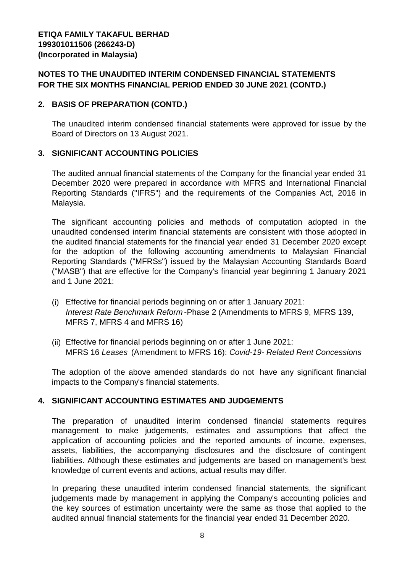#### **NOTES TO THE UNAUDITED INTERIM CONDENSED FINANCIAL STATEMENTS FOR THE SIX MONTHS FINANCIAL PERIOD ENDED 30 JUNE 2021 (CONTD.)**

#### **2. BASIS OF PREPARATION (CONTD.)**

The unaudited interim condensed financial statements were approved for issue by the Board of Directors on 13 August 2021.

#### **3. SIGNIFICANT ACCOUNTING POLICIES**

The audited annual financial statements of the Company for the financial year ended 31 December 2020 were prepared in accordance with MFRS and International Financial Reporting Standards ("IFRS") and the requirements of the Companies Act, 2016 in Malaysia.

The significant accounting policies and methods of computation adopted in the unaudited condensed interim financial statements are consistent with those adopted in the audited financial statements for the financial year ended 31 December 2020 except for the adoption of the following accounting amendments to Malaysian Financial Reporting Standards ("MFRSs") issued by the Malaysian Accounting Standards Board ("MASB") that are effective for the Company's financial year beginning 1 January 2021 and 1 June 2021:

- (i) Effective for financial periods beginning on or after 1 January 2021: *Interest Rate Benchmark Reform* -Phase 2 (Amendments to MFRS 9, MFRS 139, MFRS 7, MFRS 4 and MFRS 16)
- (ii) Effective for financial periods beginning on or after 1 June 2021: MFRS 16 *Leases* (Amendment to MFRS 16): *Covid-19- Related Rent Concessions*

The adoption of the above amended standards do not have any significant financial impacts to the Company's financial statements.

#### **4. SIGNIFICANT ACCOUNTING ESTIMATES AND JUDGEMENTS**

The preparation of unaudited interim condensed financial statements requires management to make judgements, estimates and assumptions that affect the application of accounting policies and the reported amounts of income, expenses, assets, liabilities, the accompanying disclosures and the disclosure of contingent liabilities. Although these estimates and judgements are based on management's best knowledge of current events and actions, actual results may differ.

In preparing these unaudited interim condensed financial statements, the significant judgements made by management in applying the Company's accounting policies and the key sources of estimation uncertainty were the same as those that applied to the audited annual financial statements for the financial year ended 31 December 2020.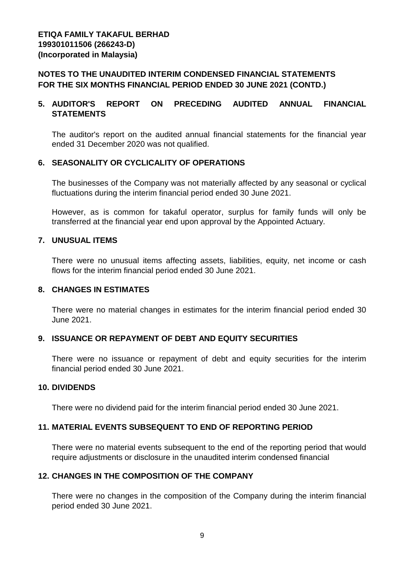#### **NOTES TO THE UNAUDITED INTERIM CONDENSED FINANCIAL STATEMENTS FOR THE SIX MONTHS FINANCIAL PERIOD ENDED 30 JUNE 2021 (CONTD.)**

#### **5. AUDITOR'S REPORT ON PRECEDING AUDITED ANNUAL FINANCIAL STATEMENTS**

The auditor's report on the audited annual financial statements for the financial year ended 31 December 2020 was not qualified.

#### **6. SEASONALITY OR CYCLICALITY OF OPERATIONS**

The businesses of the Company was not materially affected by any seasonal or cyclical fluctuations during the interim financial period ended 30 June 2021.

However, as is common for takaful operator, surplus for family funds will only be transferred at the financial year end upon approval by the Appointed Actuary.

#### **7. UNUSUAL ITEMS**

There were no unusual items affecting assets, liabilities, equity, net income or cash flows for the interim financial period ended 30 June 2021.

#### **8. CHANGES IN ESTIMATES**

There were no material changes in estimates for the interim financial period ended 30 June 2021.

#### **9. ISSUANCE OR REPAYMENT OF DEBT AND EQUITY SECURITIES**

There were no issuance or repayment of debt and equity securities for the interim financial period ended 30 June 2021.

#### **10. DIVIDENDS**

There were no dividend paid for the interim financial period ended 30 June 2021.

#### **11. MATERIAL EVENTS SUBSEQUENT TO END OF REPORTING PERIOD**

There were no material events subsequent to the end of the reporting period that would require adjustments or disclosure in the unaudited interim condensed financial

#### **12. CHANGES IN THE COMPOSITION OF THE COMPANY**

There were no changes in the composition of the Company during the interim financial period ended 30 June 2021.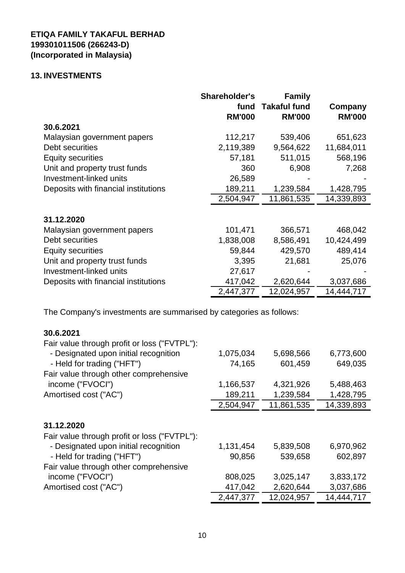#### **13. INVESTMENTS**

|                                      | <b>Shareholder's</b><br>fund<br><b>RM'000</b> | <b>Family</b><br><b>Takaful fund</b><br><b>RM'000</b> | Company<br><b>RM'000</b> |
|--------------------------------------|-----------------------------------------------|-------------------------------------------------------|--------------------------|
| 30.6.2021                            |                                               |                                                       |                          |
| Malaysian government papers          | 112,217                                       | 539,406                                               | 651,623                  |
| Debt securities                      | 2,119,389                                     | 9,564,622                                             | 11,684,011               |
| <b>Equity securities</b>             | 57,181                                        | 511,015                                               | 568,196                  |
| Unit and property trust funds        | 360                                           | 6,908                                                 | 7,268                    |
| Investment-linked units              | 26,589                                        |                                                       |                          |
| Deposits with financial institutions | 189,211                                       | 1,239,584                                             | 1,428,795                |
|                                      | 2,504,947                                     | 11,861,535                                            | 14,339,893               |
|                                      |                                               |                                                       |                          |
| 31.12.2020                           |                                               |                                                       |                          |
| Malaysian government papers          | 101,471                                       | 366,571                                               | 468,042                  |
| Debt securities                      | 1,838,008                                     | 8,586,491                                             | 10,424,499               |
| <b>Equity securities</b>             | 59,844                                        | 429,570                                               | 489,414                  |
| Unit and property trust funds        | 3,395                                         | 21,681                                                | 25,076                   |
| Investment-linked units              | 27,617                                        |                                                       |                          |
| Deposits with financial institutions | 417,042                                       | 2,620,644                                             | 3,037,686                |
|                                      | 2,447,377                                     | 12,024,957                                            | 14,444,717               |

The Company's investments are summarised by categories as follows:

# **30.6.2021**

| Fair value through profit or loss ("FVTPL"): |           |            |            |
|----------------------------------------------|-----------|------------|------------|
| - Designated upon initial recognition        | 1,075,034 | 5,698,566  | 6,773,600  |
| - Held for trading ("HFT")                   | 74,165    | 601,459    | 649,035    |
| Fair value through other comprehensive       |           |            |            |
| income ("FVOCI")                             | 1,166,537 | 4,321,926  | 5,488,463  |
| Amortised cost ("AC")                        | 189,211   | 1,239,584  | 1,428,795  |
|                                              | 2,504,947 | 11,861,535 | 14,339,893 |
|                                              |           |            |            |
| 31.12.2020                                   |           |            |            |
| Fair value through profit or loss ("FVTPL"): |           |            |            |
| - Designated upon initial recognition        | 1,131,454 | 5,839,508  | 6,970,962  |
| - Held for trading ("HFT")                   | 90,856    | 539,658    | 602,897    |
| Fair value through other comprehensive       |           |            |            |
| income ("FVOCI")                             | 808,025   | 3,025,147  | 3,833,172  |
| Amortised cost ("AC")                        | 417,042   | 2,620,644  | 3,037,686  |
|                                              | 2,447,377 | 12,024,957 | 14,444,717 |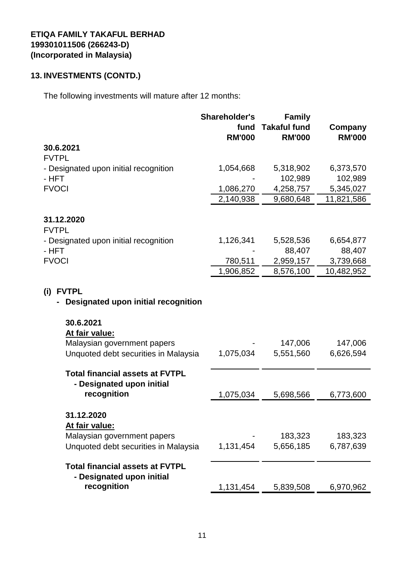# **13. INVESTMENTS (CONTD.)**

The following investments will mature after 12 months:

|                                        | Shareholder's | <b>Family</b>       |               |
|----------------------------------------|---------------|---------------------|---------------|
|                                        | fund          | <b>Takaful fund</b> | Company       |
|                                        | <b>RM'000</b> | <b>RM'000</b>       | <b>RM'000</b> |
| 30.6.2021                              |               |                     |               |
| <b>FVTPL</b>                           |               |                     |               |
| - Designated upon initial recognition  | 1,054,668     | 5,318,902           | 6,373,570     |
| - HFT                                  |               | 102,989             | 102,989       |
| <b>FVOCI</b>                           | 1,086,270     | 4,258,757           | 5,345,027     |
|                                        | 2,140,938     | 9,680,648           | 11,821,586    |
|                                        |               |                     |               |
| 31.12.2020                             |               |                     |               |
| <b>FVTPL</b>                           |               |                     |               |
| - Designated upon initial recognition  | 1,126,341     | 5,528,536           | 6,654,877     |
| - HFT                                  |               | 88,407              | 88,407        |
| <b>FVOCI</b>                           | 780,511       | 2,959,157           | 3,739,668     |
|                                        | 1,906,852     | 8,576,100           | 10,482,952    |
|                                        |               |                     |               |
| (i)<br><b>FVTPL</b>                    |               |                     |               |
| Designated upon initial recognition    |               |                     |               |
|                                        |               |                     |               |
| 30.6.2021                              |               |                     |               |
| At fair value:                         |               |                     |               |
| Malaysian government papers            |               | 147,006             | 147,006       |
| Unquoted debt securities in Malaysia   | 1,075,034     | 5,551,560           | 6,626,594     |
|                                        |               |                     |               |
| <b>Total financial assets at FVTPL</b> |               |                     |               |
| - Designated upon initial              |               |                     |               |
| recognition                            | 1,075,034     | 5,698,566           | 6,773,600     |
|                                        |               |                     |               |
| 31.12.2020                             |               |                     |               |
| At fair value:                         |               |                     |               |
| Malaysian government papers            |               | 183,323             | 183,323       |
| Unquoted debt securities in Malaysia   | 1,131,454     | 5,656,185           | 6,787,639     |
|                                        |               |                     |               |
| <b>Total financial assets at FVTPL</b> |               |                     |               |
| - Designated upon initial              |               |                     |               |
| recognition                            | 1,131,454     | 5,839,508           | 6,970,962     |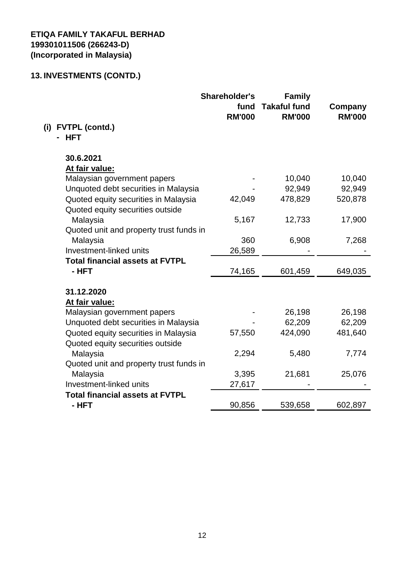|                                         | <b>Shareholder's</b><br>fund<br><b>RM'000</b> | <b>Family</b><br><b>Takaful fund</b><br><b>RM'000</b> | Company<br><b>RM'000</b> |
|-----------------------------------------|-----------------------------------------------|-------------------------------------------------------|--------------------------|
| <b>FVTPL (contd.)</b><br>(i)            |                                               |                                                       |                          |
| <b>HFT</b>                              |                                               |                                                       |                          |
| 30.6.2021                               |                                               |                                                       |                          |
| At fair value:                          |                                               |                                                       |                          |
| Malaysian government papers             |                                               | 10,040                                                | 10,040                   |
| Unquoted debt securities in Malaysia    |                                               | 92,949                                                | 92,949                   |
| Quoted equity securities in Malaysia    | 42,049                                        | 478,829                                               | 520,878                  |
| Quoted equity securities outside        |                                               |                                                       |                          |
| Malaysia                                | 5,167                                         | 12,733                                                | 17,900                   |
| Quoted unit and property trust funds in |                                               |                                                       |                          |
| Malaysia                                | 360                                           | 6,908                                                 | 7,268                    |
| Investment-linked units                 | 26,589                                        |                                                       |                          |
| <b>Total financial assets at FVTPL</b>  |                                               |                                                       |                          |
| - HFT                                   | 74,165                                        | 601,459                                               | 649,035                  |
| 31.12.2020                              |                                               |                                                       |                          |
| At fair value:                          |                                               |                                                       |                          |
| Malaysian government papers             |                                               | 26,198                                                | 26,198                   |
| Unquoted debt securities in Malaysia    |                                               | 62,209                                                | 62,209                   |
| Quoted equity securities in Malaysia    | 57,550                                        | 424,090                                               | 481,640                  |
| Quoted equity securities outside        |                                               |                                                       |                          |
| Malaysia                                | 2,294                                         | 5,480                                                 | 7,774                    |
| Quoted unit and property trust funds in |                                               |                                                       |                          |
| Malaysia                                | 3,395                                         | 21,681                                                | 25,076                   |
| Investment-linked units                 | 27,617                                        |                                                       |                          |
| <b>Total financial assets at FVTPL</b>  |                                               |                                                       |                          |
| - HFT                                   | 90,856                                        | 539,658                                               | 602,897                  |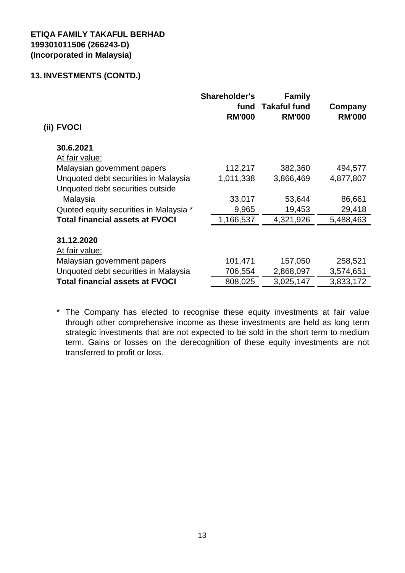| (ii) FVOCI                             | <b>Shareholder's</b><br>fund<br><b>RM'000</b> | <b>Family</b><br><b>Takaful fund</b><br><b>RM'000</b> | Company<br><b>RM'000</b> |
|----------------------------------------|-----------------------------------------------|-------------------------------------------------------|--------------------------|
| 30.6.2021                              |                                               |                                                       |                          |
| At fair value:                         |                                               |                                                       |                          |
| Malaysian government papers            | 112,217                                       | 382,360                                               | 494,577                  |
| Unquoted debt securities in Malaysia   | 1,011,338                                     | 3,866,469                                             | 4,877,807                |
| Unquoted debt securities outside       |                                               |                                                       |                          |
| Malaysia                               | 33,017                                        | 53,644                                                | 86,661                   |
| Quoted equity securities in Malaysia * | 9,965                                         | 19,453                                                | 29,418                   |
| <b>Total financial assets at FVOCI</b> | 1,166,537                                     | 4,321,926                                             | 5,488,463                |
| 31.12.2020                             |                                               |                                                       |                          |
| At fair value:                         |                                               |                                                       |                          |
| Malaysian government papers            | 101,471                                       | 157,050                                               | 258,521                  |
| Unquoted debt securities in Malaysia   | 706,554                                       | 2,868,097                                             | 3,574,651                |
|                                        |                                               |                                                       |                          |
| <b>Total financial assets at FVOCI</b> | 808,025                                       | 3,025,147                                             | 3,833,172                |

\* The Company has elected to recognise these equity investments at fair value through other comprehensive income as these investments are held as long term strategic investments that are not expected to be sold in the short term to medium term. Gains or losses on the derecognition of these equity investments are not transferred to profit or loss.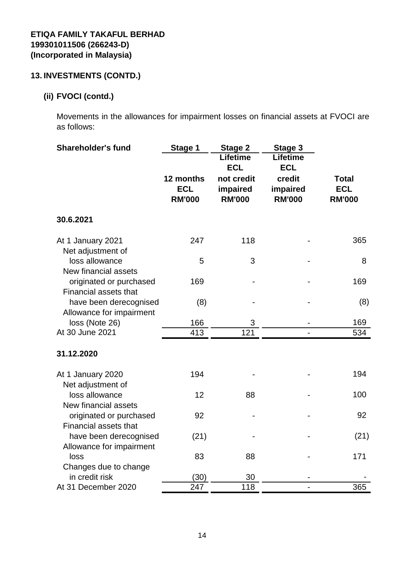# **(ii) FVOCI (contd.)**

Movements in the allowances for impairment losses on financial assets at FVOCI are as follows:

| <b>Shareholder's fund</b>                               | Stage 1                 | Stage 2<br><b>Lifetime</b> | Stage 3<br>Lifetime |                            |
|---------------------------------------------------------|-------------------------|----------------------------|---------------------|----------------------------|
|                                                         |                         | <b>ECL</b>                 | <b>ECL</b>          |                            |
|                                                         | 12 months<br><b>ECL</b> | not credit<br>impaired     | credit<br>impaired  | <b>Total</b><br><b>ECL</b> |
|                                                         | <b>RM'000</b>           | <b>RM'000</b>              | <b>RM'000</b>       | <b>RM'000</b>              |
| 30.6.2021                                               |                         |                            |                     |                            |
| At 1 January 2021<br>Net adjustment of                  | 247                     | 118                        |                     | 365                        |
| loss allowance<br>New financial assets                  | 5                       | 3                          |                     | 8                          |
| originated or purchased<br><b>Financial assets that</b> | 169                     |                            |                     | 169                        |
| have been derecognised<br>Allowance for impairment      | (8)                     |                            |                     | (8)                        |
| loss (Note 26)                                          | 166                     | 3                          |                     | 169                        |
| At 30 June 2021                                         | 413                     | $\overline{121}$           |                     | 534                        |
| 31.12.2020                                              |                         |                            |                     |                            |
| At 1 January 2020<br>Net adjustment of                  | 194                     |                            |                     | 194                        |
| loss allowance<br>New financial assets                  | 12                      | 88                         |                     | 100                        |
| originated or purchased<br><b>Financial assets that</b> | 92                      |                            |                     | 92                         |
| have been derecognised<br>Allowance for impairment      | (21)                    |                            |                     | (21)                       |
| loss<br>Changes due to change                           | 83                      | 88                         |                     | 171                        |
| in credit risk                                          | (30)                    | 30                         |                     |                            |
| At 31 December 2020                                     | 247                     | 118                        |                     | 365                        |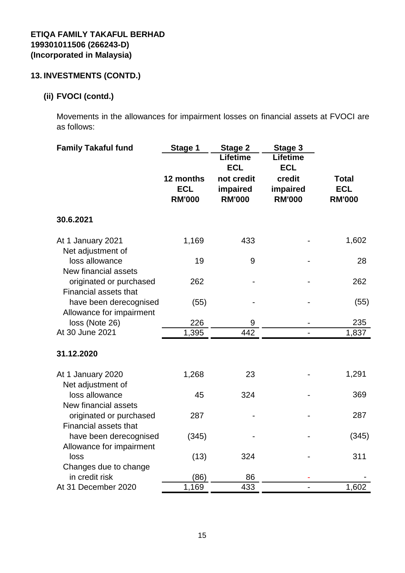# **(ii) FVOCI (contd.)**

Movements in the allowances for impairment losses on financial assets at FVOCI are as follows:

| <b>Family Takaful fund</b>                         | <b>Stage 1</b><br>12 months<br><b>ECL</b><br><b>RM'000</b> | <b>Stage 2</b><br>Lifetime<br><b>ECL</b><br>not credit<br>impaired<br><b>RM'000</b> | Stage 3<br>Lifetime<br><b>ECL</b><br>credit<br>impaired<br><b>RM'000</b> | <b>Total</b><br><b>ECL</b><br><b>RM'000</b> |
|----------------------------------------------------|------------------------------------------------------------|-------------------------------------------------------------------------------------|--------------------------------------------------------------------------|---------------------------------------------|
| 30.6.2021                                          |                                                            |                                                                                     |                                                                          |                                             |
|                                                    |                                                            |                                                                                     |                                                                          |                                             |
| At 1 January 2021<br>Net adjustment of             | 1,169                                                      | 433                                                                                 |                                                                          | 1,602                                       |
| loss allowance<br>New financial assets             | 19                                                         | 9                                                                                   |                                                                          | 28                                          |
| originated or purchased<br>Financial assets that   | 262                                                        |                                                                                     |                                                                          | 262                                         |
| have been derecognised<br>Allowance for impairment | (55)                                                       |                                                                                     |                                                                          | (55)                                        |
| loss (Note 26)                                     | 226                                                        | 9                                                                                   |                                                                          | 235                                         |
| At 30 June 2021                                    | 1,395                                                      | 442                                                                                 |                                                                          | 1,837                                       |
| 31.12.2020                                         |                                                            |                                                                                     |                                                                          |                                             |
| At 1 January 2020<br>Net adjustment of             | 1,268                                                      | 23                                                                                  |                                                                          | 1,291                                       |
| loss allowance<br>New financial assets             | 45                                                         | 324                                                                                 |                                                                          | 369                                         |
| originated or purchased<br>Financial assets that   | 287                                                        |                                                                                     |                                                                          | 287                                         |
| have been derecognised<br>Allowance for impairment | (345)                                                      |                                                                                     |                                                                          | (345)                                       |
| loss                                               | (13)                                                       | 324                                                                                 |                                                                          | 311                                         |
| Changes due to change                              |                                                            |                                                                                     |                                                                          |                                             |
| in credit risk                                     | (86)                                                       | 86                                                                                  |                                                                          |                                             |
| At 31 December 2020                                | 1,169                                                      | 433                                                                                 |                                                                          | 1,602                                       |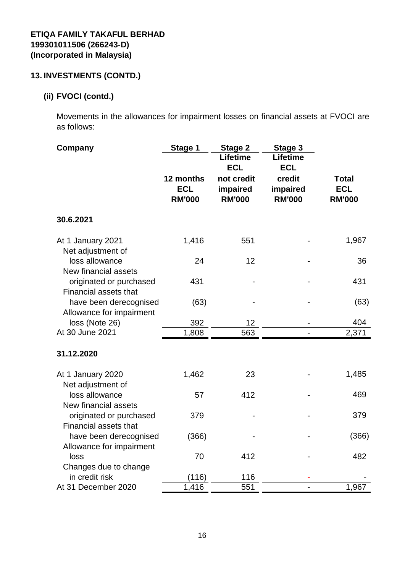# **(ii) FVOCI (contd.)**

Movements in the allowances for impairment losses on financial assets at FVOCI are as follows:

| Company                                                 | Stage 1                                  | Stage 2                                 | Stage 3                             |                                             |
|---------------------------------------------------------|------------------------------------------|-----------------------------------------|-------------------------------------|---------------------------------------------|
|                                                         |                                          | <b>Lifetime</b><br><b>ECL</b>           | <b>Lifetime</b><br><b>ECL</b>       |                                             |
|                                                         | 12 months<br><b>ECL</b><br><b>RM'000</b> | not credit<br>impaired<br><b>RM'000</b> | credit<br>impaired<br><b>RM'000</b> | <b>Total</b><br><b>ECL</b><br><b>RM'000</b> |
| 30.6.2021                                               |                                          |                                         |                                     |                                             |
| At 1 January 2021<br>Net adjustment of                  | 1,416                                    | 551                                     |                                     | 1,967                                       |
| loss allowance<br>New financial assets                  | 24                                       | 12                                      |                                     | 36                                          |
| originated or purchased<br><b>Financial assets that</b> | 431                                      |                                         |                                     | 431                                         |
| have been derecognised<br>Allowance for impairment      | (63)                                     |                                         |                                     | (63)                                        |
| loss (Note 26)                                          | 392                                      | 12                                      |                                     | 404                                         |
| At 30 June 2021                                         | 1,808                                    | 563                                     |                                     | 2,371                                       |
| 31.12.2020                                              |                                          |                                         |                                     |                                             |
| At 1 January 2020<br>Net adjustment of                  | 1,462                                    | 23                                      |                                     | 1,485                                       |
| loss allowance<br>New financial assets                  | 57                                       | 412                                     |                                     | 469                                         |
| originated or purchased<br><b>Financial assets that</b> | 379                                      |                                         |                                     | 379                                         |
| have been derecognised<br>Allowance for impairment      | (366)                                    |                                         |                                     | (366)                                       |
| loss                                                    | 70                                       | 412                                     |                                     | 482                                         |
| Changes due to change                                   |                                          |                                         |                                     |                                             |
| in credit risk<br>At 31 December 2020                   | (116)                                    | 116                                     |                                     |                                             |
|                                                         | 1,416                                    | 551                                     |                                     | 1,967                                       |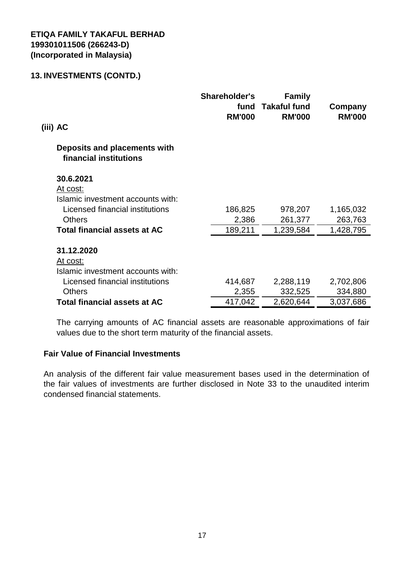| (iii) AC                                               | <b>Shareholder's</b><br>fund<br><b>RM'000</b> | <b>Family</b><br><b>Takaful fund</b><br><b>RM'000</b> | Company<br><b>RM'000</b> |
|--------------------------------------------------------|-----------------------------------------------|-------------------------------------------------------|--------------------------|
| Deposits and placements with<br>financial institutions |                                               |                                                       |                          |
| 30.6.2021                                              |                                               |                                                       |                          |
| At cost:                                               |                                               |                                                       |                          |
| Islamic investment accounts with:                      |                                               |                                                       |                          |
| Licensed financial institutions                        | 186,825                                       | 978,207                                               | 1,165,032                |
| <b>Others</b>                                          | 2,386                                         | 261,377                                               | 263,763                  |
| <b>Total financial assets at AC</b>                    | 189,211                                       | 1,239,584                                             | 1,428,795                |
| 31.12.2020                                             |                                               |                                                       |                          |
| At cost:                                               |                                               |                                                       |                          |
| Islamic investment accounts with:                      |                                               |                                                       |                          |
| Licensed financial institutions                        | 414,687                                       | 2,288,119                                             | 2,702,806                |
| <b>Others</b>                                          | 2,355                                         | 332,525                                               | 334,880                  |
| <b>Total financial assets at AC</b>                    | 417,042                                       | 2,620,644                                             | 3,037,686                |

The carrying amounts of AC financial assets are reasonable approximations of fair values due to the short term maturity of the financial assets.

#### **Fair Value of Financial Investments**

An analysis of the different fair value measurement bases used in the determination of the fair values of investments are further disclosed in Note 33 to the unaudited interim condensed financial statements.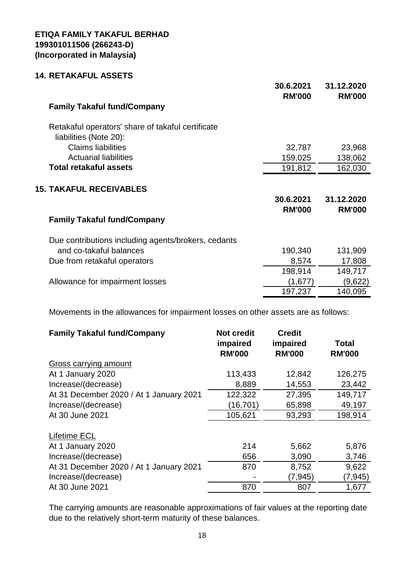#### **14. RETAKAFUL ASSETS**

|                                                                             | 30.6.2021<br><b>RM'000</b> | 31.12.2020<br><b>RM'000</b> |
|-----------------------------------------------------------------------------|----------------------------|-----------------------------|
| <b>Family Takaful fund/Company</b>                                          |                            |                             |
| Retakaful operators' share of takaful certificate<br>liabilities (Note 20): |                            |                             |
| <b>Claims liabilities</b>                                                   | 32,787                     | 23,968                      |
| <b>Actuarial liabilities</b>                                                | 159,025                    | 138,062                     |
| <b>Total retakaful assets</b>                                               | 191,812                    | 162,030                     |
| <b>15. TAKAFUL RECEIVABLES</b><br><b>Family Takaful fund/Company</b>        | 30.6.2021<br><b>RM'000</b> | 31.12.2020<br><b>RM'000</b> |
| Due contributions including agents/brokers, cedants                         |                            |                             |
| and co-takaful balances                                                     | 190,340                    | 131,909                     |
| Due from retakaful operators                                                | 8,574                      | 17,808                      |
|                                                                             | 198,914                    | 149,717                     |
| Allowance for impairment losses                                             | (1,677)                    | (9,622)                     |
|                                                                             | 197,237                    | 140,095                     |

Movements in the allowances for impairment losses on other assets are as follows:

| <b>Family Takaful fund/Company</b>      | <b>Not credit</b><br>impaired<br><b>RM'000</b> | <b>Credit</b><br>impaired<br><b>RM'000</b> | <b>Total</b><br><b>RM'000</b> |
|-----------------------------------------|------------------------------------------------|--------------------------------------------|-------------------------------|
| Gross carrying amount                   |                                                |                                            |                               |
| At 1 January 2020                       | 113,433                                        | 12,842                                     | 126,275                       |
| Increase/(decrease)                     | 8,889                                          | 14,553                                     | 23,442                        |
| At 31 December 2020 / At 1 January 2021 | 122,322                                        | 27,395                                     | 149,717                       |
| Increase/(decrease)                     | (16, 701)                                      | 65,898                                     | 49,197                        |
| At 30 June 2021                         | 105,621                                        | 93,293                                     | 198,914                       |
| <b>Lifetime ECL</b>                     |                                                |                                            |                               |
| At 1 January 2020                       | 214                                            | 5,662                                      | 5,876                         |
| Increase/(decrease)                     | 656                                            | 3,090                                      | 3,746                         |
| At 31 December 2020 / At 1 January 2021 | 870                                            | 8,752                                      | 9,622                         |
| Increase/(decrease)                     |                                                | (7, 945)                                   | (7,945)                       |
| At 30 June 2021                         | 870                                            | 807                                        | 1,677                         |

The carrying amounts are reasonable approximations of fair values at the reporting date due to the relatively short-term maturity of these balances.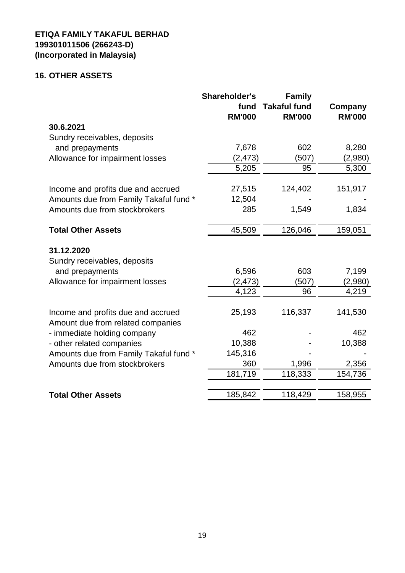# **16. OTHER ASSETS**

|                                                                         | <b>Shareholder's</b>  | <b>Family</b>                        |                          |
|-------------------------------------------------------------------------|-----------------------|--------------------------------------|--------------------------|
|                                                                         | fund<br><b>RM'000</b> | <b>Takaful fund</b><br><b>RM'000</b> | Company<br><b>RM'000</b> |
| 30.6.2021                                                               |                       |                                      |                          |
| Sundry receivables, deposits                                            |                       |                                      |                          |
| and prepayments                                                         | 7,678                 | 602                                  | 8,280                    |
| Allowance for impairment losses                                         | (2, 473)              | (507)                                | (2,980)                  |
|                                                                         | 5,205                 | 95                                   | 5,300                    |
| Income and profits due and accrued                                      | 27,515                | 124,402                              | 151,917                  |
| Amounts due from Family Takaful fund *                                  | 12,504                |                                      |                          |
| Amounts due from stockbrokers                                           | 285                   | 1,549                                | 1,834                    |
| <b>Total Other Assets</b>                                               | 45,509                | 126,046                              | 159,051                  |
| 31.12.2020                                                              |                       |                                      |                          |
| Sundry receivables, deposits                                            |                       |                                      |                          |
| and prepayments                                                         | 6,596                 | 603                                  | 7,199                    |
| Allowance for impairment losses                                         | (2, 473)              | (507)                                | (2,980)                  |
|                                                                         | 4,123                 | 96                                   | 4,219                    |
| Income and profits due and accrued<br>Amount due from related companies | 25,193                | 116,337                              | 141,530                  |
| - immediate holding company                                             | 462                   |                                      | 462                      |
| - other related companies                                               | 10,388                |                                      | 10,388                   |
| Amounts due from Family Takaful fund *                                  | 145,316               |                                      |                          |
| Amounts due from stockbrokers                                           | 360                   | 1,996                                | 2,356                    |
|                                                                         | 181,719               | 118,333                              | 154,736                  |
|                                                                         |                       |                                      |                          |
| <b>Total Other Assets</b>                                               | 185,842               | 118,429                              | 158,955                  |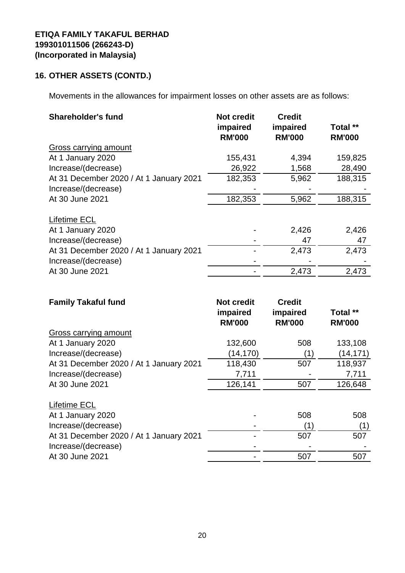# **16. OTHER ASSETS (CONTD.)**

Movements in the allowances for impairment losses on other assets are as follows:

| <b>Shareholder's fund</b>               | <b>Not credit</b><br>impaired<br><b>RM'000</b> | <b>Credit</b><br>impaired<br><b>RM'000</b> | Total **<br><b>RM'000</b> |
|-----------------------------------------|------------------------------------------------|--------------------------------------------|---------------------------|
| <b>Gross carrying amount</b>            |                                                |                                            |                           |
| At 1 January 2020                       | 155,431                                        | 4,394                                      | 159,825                   |
| Increase/(decrease)                     | 26,922                                         | 1,568                                      | 28,490                    |
| At 31 December 2020 / At 1 January 2021 | 182,353                                        | 5,962                                      | 188,315                   |
| Increase/(decrease)                     |                                                |                                            |                           |
| At 30 June 2021                         | 182,353                                        | 5,962                                      | 188,315                   |
| <b>Lifetime ECL</b>                     |                                                |                                            |                           |
| At 1 January 2020                       |                                                | 2,426                                      | 2,426                     |
| Increase/(decrease)                     |                                                | 47                                         | 47                        |
| At 31 December 2020 / At 1 January 2021 |                                                | 2,473                                      | 2,473                     |
| Increase/(decrease)                     |                                                |                                            |                           |
| At 30 June 2021                         |                                                | 2,473                                      | 2,473                     |

| <b>Family Takaful fund</b>              | <b>Not credit</b><br>impaired<br><b>RM'000</b> | <b>Credit</b><br>impaired<br><b>RM'000</b> | Total **<br><b>RM'000</b> |
|-----------------------------------------|------------------------------------------------|--------------------------------------------|---------------------------|
| <b>Gross carrying amount</b>            |                                                |                                            |                           |
| At 1 January 2020                       | 132,600                                        | 508                                        | 133,108                   |
| Increase/(decrease)                     | (14, 170)                                      | (1)                                        | (14, 171)                 |
| At 31 December 2020 / At 1 January 2021 | 118,430                                        | 507                                        | 118,937                   |
| Increase/(decrease)                     | 7,711                                          |                                            | 7,711                     |
| At 30 June 2021                         | 126,141                                        | 507                                        | 126,648                   |
| <b>Lifetime ECL</b>                     |                                                |                                            |                           |
| At 1 January 2020                       |                                                | 508                                        | 508                       |
| Increase/(decrease)                     |                                                | (1)                                        | (1)                       |
| At 31 December 2020 / At 1 January 2021 |                                                | 507                                        | 507                       |
| Increase/(decrease)                     |                                                |                                            |                           |
| At 30 June 2021                         |                                                | 507                                        | 507                       |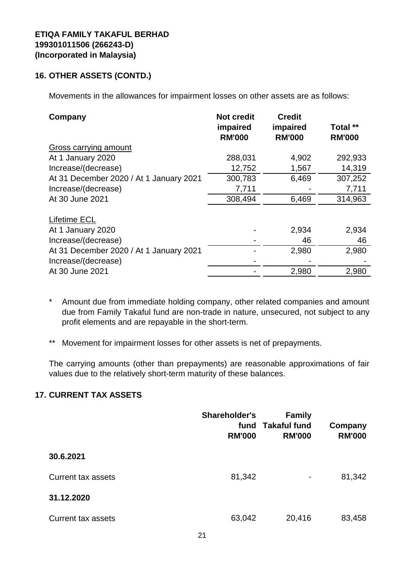#### **16. OTHER ASSETS (CONTD.)**

Movements in the allowances for impairment losses on other assets are as follows:

| Company                                 | <b>Not credit</b><br>impaired | <b>Credit</b><br>impaired | Total **      |
|-----------------------------------------|-------------------------------|---------------------------|---------------|
|                                         | <b>RM'000</b>                 | <b>RM'000</b>             | <b>RM'000</b> |
| <b>Gross carrying amount</b>            |                               |                           |               |
| At 1 January 2020                       | 288,031                       | 4,902                     | 292,933       |
| Increase/(decrease)                     | 12,752                        | 1,567                     | 14,319        |
| At 31 December 2020 / At 1 January 2021 | 300,783                       | 6,469                     | 307,252       |
| Increase/(decrease)                     | 7,711                         |                           | 7,711         |
| At 30 June 2021                         | 308,494                       | 6,469                     | 314,963       |
| <b>Lifetime ECL</b>                     |                               |                           |               |
| At 1 January 2020                       |                               | 2,934                     | 2,934         |
| Increase/(decrease)                     |                               | 46                        | 46            |
| At 31 December 2020 / At 1 January 2021 |                               | 2,980                     | 2,980         |
| Increase/(decrease)                     |                               |                           |               |
| At 30 June 2021                         |                               | 2,980                     | 2,980         |

- \* Amount due from immediate holding company, other related companies and amount due from Family Takaful fund are non-trade in nature, unsecured, not subject to any profit elements and are repayable in the short-term.
- \*\* Movement for impairment losses for other assets is net of prepayments.

The carrying amounts (other than prepayments) are reasonable approximations of fair values due to the relatively short-term maturity of these balances.

#### **17. CURRENT TAX ASSETS**

|                           | <b>Shareholder's</b><br>fund<br><b>RM'000</b> | <b>Family</b><br><b>Takaful fund</b><br><b>RM'000</b> | Company<br><b>RM'000</b> |
|---------------------------|-----------------------------------------------|-------------------------------------------------------|--------------------------|
| 30.6.2021                 |                                               |                                                       |                          |
| <b>Current tax assets</b> | 81,342                                        | ۰                                                     | 81,342                   |
| 31.12.2020                |                                               |                                                       |                          |
| <b>Current tax assets</b> | 63,042                                        | 20,416                                                | 83,458                   |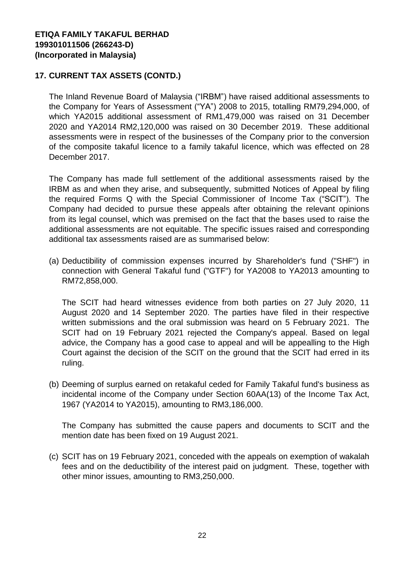## **17. CURRENT TAX ASSETS (CONTD.)**

The Inland Revenue Board of Malaysia ("IRBM") have raised additional assessments to the Company for Years of Assessment ("YA") 2008 to 2015, totalling RM79,294,000, of which YA2015 additional assessment of RM1,479,000 was raised on 31 December 2020 and YA2014 RM2,120,000 was raised on 30 December 2019. These additional assessments were in respect of the businesses of the Company prior to the conversion of the composite takaful licence to a family takaful licence, which was effected on 28 December 2017.

The Company has made full settlement of the additional assessments raised by the IRBM as and when they arise, and subsequently, submitted Notices of Appeal by filing the required Forms Q with the Special Commissioner of Income Tax ("SCIT"). The Company had decided to pursue these appeals after obtaining the relevant opinions from its legal counsel, which was premised on the fact that the bases used to raise the additional assessments are not equitable. The specific issues raised and corresponding additional tax assessments raised are as summarised below:

(a) Deductibility of commission expenses incurred by Shareholder's fund ("SHF") in connection with General Takaful fund ("GTF") for YA2008 to YA2013 amounting to RM72,858,000.

The SCIT had heard witnesses evidence from both parties on 27 July 2020, 11 August 2020 and 14 September 2020. The parties have filed in their respective written submissions and the oral submission was heard on 5 February 2021. The SCIT had on 19 February 2021 rejected the Company's appeal. Based on legal advice, the Company has a good case to appeal and will be appealling to the High Court against the decision of the SCIT on the ground that the SCIT had erred in its ruling.

(b) Deeming of surplus earned on retakaful ceded for Family Takaful fund's business as incidental income of the Company under Section 60AA(13) of the Income Tax Act, 1967 (YA2014 to YA2015), amounting to RM3,186,000.

The Company has submitted the cause papers and documents to SCIT and the mention date has been fixed on 19 August 2021.

(c) SCIT has on 19 February 2021, conceded with the appeals on exemption of wakalah fees and on the deductibility of the interest paid on judgment. These, together with other minor issues, amounting to RM3,250,000.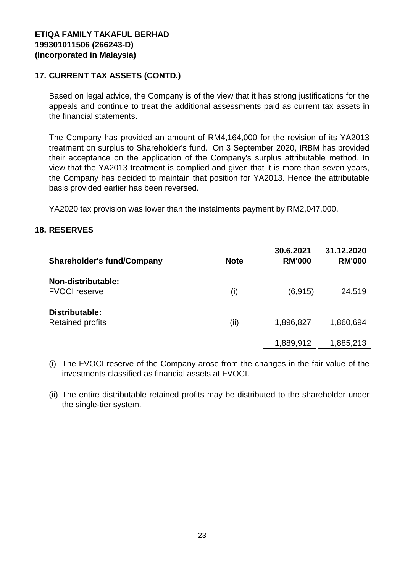## **17. CURRENT TAX ASSETS (CONTD.)**

Based on legal advice, the Company is of the view that it has strong justifications for the appeals and continue to treat the additional assessments paid as current tax assets in the financial statements.

The Company has provided an amount of RM4,164,000 for the revision of its YA2013 treatment on surplus to Shareholder's fund. On 3 September 2020, IRBM has provided their acceptance on the application of the Company's surplus attributable method. In view that the YA2013 treatment is complied and given that it is more than seven years, the Company has decided to maintain that position for YA2013. Hence the attributable basis provided earlier has been reversed.

YA2020 tax provision was lower than the instalments payment by RM2,047,000.

#### **18. RESERVES**

| <b>Shareholder's fund/Company</b>          | <b>Note</b> | 30.6.2021<br><b>RM'000</b> | 31.12.2020<br><b>RM'000</b> |
|--------------------------------------------|-------------|----------------------------|-----------------------------|
| Non-distributable:<br><b>FVOCI</b> reserve | (i)         | (6, 915)                   | 24,519                      |
| Distributable:<br><b>Retained profits</b>  | (ii)        | 1,896,827                  | 1,860,694                   |
|                                            |             | 1,889,912                  | 1,885,213                   |

(i) The FVOCI reserve of the Company arose from the changes in the fair value of the investments classified as financial assets at FVOCI.

(ii) The entire distributable retained profits may be distributed to the shareholder under the single-tier system.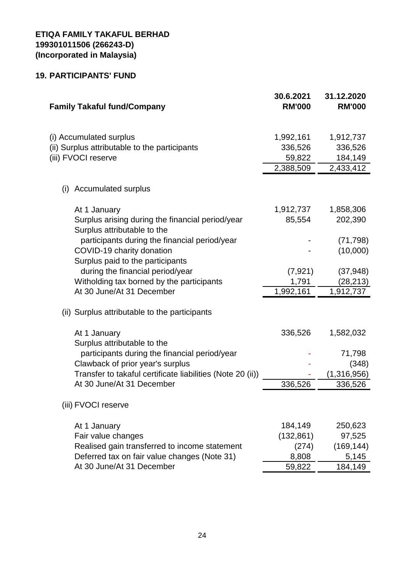# **19. PARTICIPANTS' FUND**

| <b>Family Takaful fund/Company</b>                                                              | 30.6.2021<br><b>RM'000</b>     | 31.12.2020<br><b>RM'000</b>     |
|-------------------------------------------------------------------------------------------------|--------------------------------|---------------------------------|
| (i) Accumulated surplus<br>(ii) Surplus attributable to the participants<br>(iii) FVOCI reserve | 1,992,161<br>336,526<br>59,822 | 1,912,737<br>336,526<br>184,149 |
|                                                                                                 | 2,388,509                      | 2,433,412                       |
| <b>Accumulated surplus</b><br>(i)                                                               |                                |                                 |
| At 1 January                                                                                    | 1,912,737                      | 1,858,306                       |
| Surplus arising during the financial period/year<br>Surplus attributable to the                 | 85,554                         | 202,390                         |
| participants during the financial period/year                                                   |                                | (71, 798)                       |
| COVID-19 charity donation<br>Surplus paid to the participants                                   |                                | (10,000)                        |
| during the financial period/year                                                                | (7, 921)                       | (37, 948)                       |
| Witholding tax borned by the participants                                                       | 1,791                          | (28, 213)                       |
| At 30 June/At 31 December                                                                       | 1,992,161                      | 1,912,737                       |
| (ii) Surplus attributable to the participants                                                   |                                |                                 |
| At 1 January<br>Surplus attributable to the                                                     | 336,526                        | 1,582,032                       |
| participants during the financial period/year                                                   |                                | 71,798                          |
| Clawback of prior year's surplus                                                                |                                | (348)                           |
| Transfer to takaful certificate liabilities (Note 20 (ii))                                      |                                | (1,316,956)                     |
| At 30 June/At 31 December                                                                       | 336,526                        | 336,526                         |
| (iii) FVOCI reserve                                                                             |                                |                                 |
| At 1 January                                                                                    | 184,149                        | 250,623                         |
| Fair value changes                                                                              | (132, 861)                     | 97,525                          |
| Realised gain transferred to income statement                                                   | (274)                          | (169, 144)                      |
| Deferred tax on fair value changes (Note 31)                                                    | 8,808                          | 5,145                           |
| At 30 June/At 31 December                                                                       | 59,822                         | 184,149                         |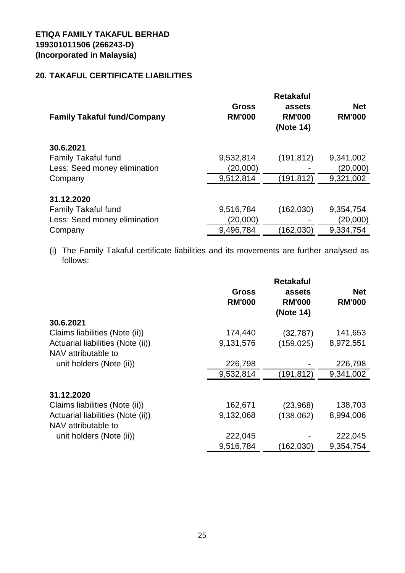# **20. TAKAFUL CERTIFICATE LIABILITIES**

| <b>Family Takaful fund/Company</b> | <b>Gross</b><br><b>RM'000</b> | <b>Retakaful</b><br>assets<br><b>RM'000</b><br>(Note 14) | <b>Net</b><br><b>RM'000</b> |
|------------------------------------|-------------------------------|----------------------------------------------------------|-----------------------------|
| 30.6.2021                          |                               |                                                          |                             |
| <b>Family Takaful fund</b>         | 9,532,814                     | (191, 812)                                               | 9,341,002                   |
| Less: Seed money elimination       | (20,000)                      |                                                          | (20,000)                    |
| Company                            | 9,512,814                     | (191, 812)                                               | 9,321,002                   |
| 31.12.2020                         |                               |                                                          |                             |
| <b>Family Takaful fund</b>         | 9,516,784                     | (162,030)                                                | 9,354,754                   |
| Less: Seed money elimination       | (20,000)                      |                                                          | (20,000)                    |
| Company                            | 9,496,784                     | (162, 030)                                               | 9,334,754                   |

(i) The Family Takaful certificate liabilities and its movements are further analysed as follows:

|                                   | <b>Gross</b><br><b>RM'000</b> | <b>Retakaful</b><br>assets<br><b>RM'000</b><br>(Note 14) | <b>Net</b><br><b>RM'000</b> |
|-----------------------------------|-------------------------------|----------------------------------------------------------|-----------------------------|
| 30.6.2021                         |                               |                                                          |                             |
| Claims liabilities (Note (ii))    | 174,440                       | (32, 787)                                                | 141,653                     |
| Actuarial liabilities (Note (ii)) | 9,131,576                     | (159, 025)                                               | 8,972,551                   |
| NAV attributable to               |                               |                                                          |                             |
| unit holders (Note (ii))          | 226,798                       |                                                          | 226,798                     |
|                                   | 9,532,814                     | (191,812)                                                | 9,341,002                   |
| 31.12.2020                        |                               |                                                          |                             |
| Claims liabilities (Note (ii))    | 162,671                       | (23,968)                                                 | 138,703                     |
| Actuarial liabilities (Note (ii)) | 9,132,068                     | (138,062)                                                | 8,994,006                   |
| NAV attributable to               |                               |                                                          |                             |
| unit holders (Note (ii))          | 222,045                       |                                                          | 222,045                     |
|                                   | 9,516,784                     | (162, 030)                                               | 9,354,754                   |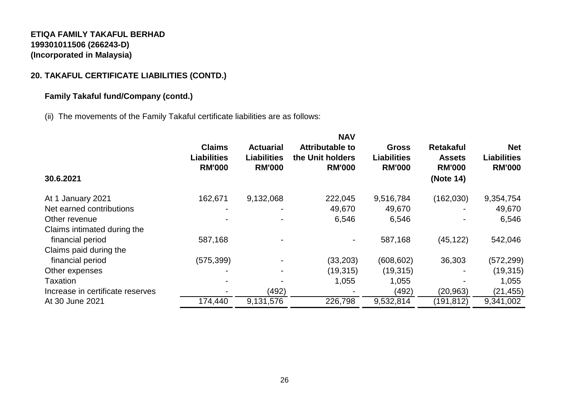# **20. TAKAFUL CERTIFICATE LIABILITIES (CONTD.)**

# **Family Takaful fund/Company (contd.)**

(ii) The movements of the Family Takaful certificate liabilities are as follows:

|                                  |                                                      |                                                         | <b>NAV</b>                                                  |                                                     |                                                                 |                                                   |
|----------------------------------|------------------------------------------------------|---------------------------------------------------------|-------------------------------------------------------------|-----------------------------------------------------|-----------------------------------------------------------------|---------------------------------------------------|
| 30.6.2021                        | <b>Claims</b><br><b>Liabilities</b><br><b>RM'000</b> | <b>Actuarial</b><br><b>Liabilities</b><br><b>RM'000</b> | <b>Attributable to</b><br>the Unit holders<br><b>RM'000</b> | <b>Gross</b><br><b>Liabilities</b><br><b>RM'000</b> | <b>Retakaful</b><br><b>Assets</b><br><b>RM'000</b><br>(Note 14) | <b>Net</b><br><b>Liabilities</b><br><b>RM'000</b> |
| At 1 January 2021                | 162,671                                              | 9,132,068                                               | 222,045                                                     | 9,516,784                                           | (162,030)                                                       | 9,354,754                                         |
| Net earned contributions         |                                                      |                                                         | 49,670                                                      | 49,670                                              |                                                                 | 49,670                                            |
| Other revenue                    |                                                      |                                                         | 6,546                                                       | 6,546                                               |                                                                 | 6,546                                             |
| Claims intimated during the      |                                                      |                                                         |                                                             |                                                     |                                                                 |                                                   |
| financial period                 | 587,168                                              |                                                         |                                                             | 587,168                                             | (45, 122)                                                       | 542,046                                           |
| Claims paid during the           |                                                      |                                                         |                                                             |                                                     |                                                                 |                                                   |
| financial period                 | (575, 399)                                           |                                                         | (33, 203)                                                   | (608, 602)                                          | 36,303                                                          | (572, 299)                                        |
| Other expenses                   |                                                      |                                                         | (19,315)                                                    | (19, 315)                                           |                                                                 | (19, 315)                                         |
| Taxation                         |                                                      |                                                         | 1,055                                                       | 1,055                                               |                                                                 | 1,055                                             |
| Increase in certificate reserves |                                                      | (492)                                                   |                                                             | (492)                                               | (20, 963)                                                       | (21, 455)                                         |
| At 30 June 2021                  | 174,440                                              | 9,131,576                                               | 226,798                                                     | 9,532,814                                           | (191, 812)                                                      | 9,341,002                                         |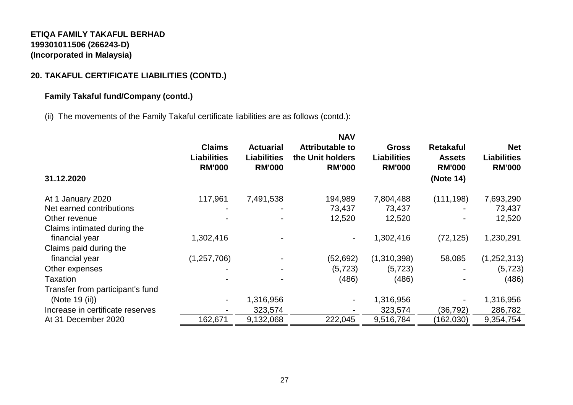# **20. TAKAFUL CERTIFICATE LIABILITIES (CONTD.)**

## **Family Takaful fund/Company (contd.)**

(ii) The movements of the Family Takaful certificate liabilities are as follows (contd.):

|                                  | <b>NAV</b>                                           |                                                         |                                                             |                                                     |                                                                 |                                                   |
|----------------------------------|------------------------------------------------------|---------------------------------------------------------|-------------------------------------------------------------|-----------------------------------------------------|-----------------------------------------------------------------|---------------------------------------------------|
| 31.12.2020                       | <b>Claims</b><br><b>Liabilities</b><br><b>RM'000</b> | <b>Actuarial</b><br><b>Liabilities</b><br><b>RM'000</b> | <b>Attributable to</b><br>the Unit holders<br><b>RM'000</b> | <b>Gross</b><br><b>Liabilities</b><br><b>RM'000</b> | <b>Retakaful</b><br><b>Assets</b><br><b>RM'000</b><br>(Note 14) | <b>Net</b><br><b>Liabilities</b><br><b>RM'000</b> |
|                                  |                                                      |                                                         |                                                             |                                                     |                                                                 |                                                   |
| January 2020<br>At 1             | 117,961                                              | 7,491,538                                               | 194,989                                                     | 7,804,488                                           | (111, 198)                                                      | 7,693,290                                         |
| Net earned contributions         |                                                      |                                                         | 73,437                                                      | 73,437                                              |                                                                 | 73,437                                            |
| Other revenue                    |                                                      |                                                         | 12,520                                                      | 12,520                                              |                                                                 | 12,520                                            |
| Claims intimated during the      |                                                      |                                                         |                                                             |                                                     |                                                                 |                                                   |
| financial year                   | 1,302,416                                            |                                                         | -                                                           | 1,302,416                                           | (72, 125)                                                       | 1,230,291                                         |
| Claims paid during the           |                                                      |                                                         |                                                             |                                                     |                                                                 |                                                   |
| financial year                   | (1,257,706)                                          |                                                         | (52, 692)                                                   | (1,310,398)                                         | 58,085                                                          | (1,252,313)                                       |
| Other expenses                   |                                                      |                                                         | (5, 723)                                                    | (5, 723)                                            |                                                                 | (5, 723)                                          |
| Taxation                         |                                                      |                                                         | (486)                                                       | (486)                                               |                                                                 | (486)                                             |
| Transfer from participant's fund |                                                      |                                                         |                                                             |                                                     |                                                                 |                                                   |
| (Note 19 (ii))                   | $\blacksquare$                                       | 1,316,956                                               | -                                                           | 1,316,956                                           |                                                                 | 1,316,956                                         |
| Increase in certificate reserves |                                                      | 323,574                                                 |                                                             | 323,574                                             | (36, 792)                                                       | 286,782                                           |
| At 31 December 2020              | 162,671                                              | 9,132,068                                               | 222,045                                                     | 9,516,784                                           | (162, 030)                                                      | 9,354,754                                         |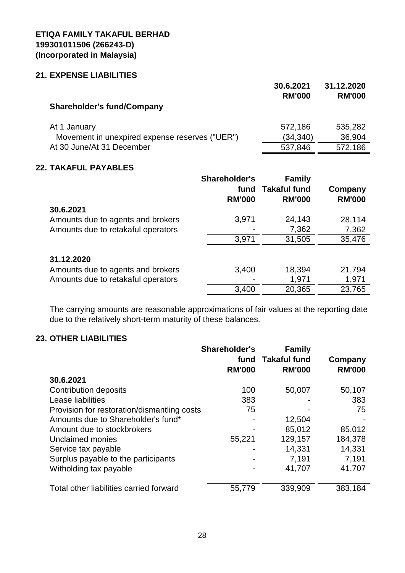#### **21. EXPENSE LIABILITIES**

|                                                | 30.6.2021<br><b>RM'000</b> | 31.12.2020<br><b>RM'000</b> |
|------------------------------------------------|----------------------------|-----------------------------|
| <b>Shareholder's fund/Company</b>              |                            |                             |
| At 1 January                                   | 572,186                    | 535,282                     |
| Movement in unexpired expense reserves ("UER") | (34, 340)                  | 36,904                      |
| At 30 June/At 31 December                      | 537,846                    | 572,186                     |

### **22. TAKAFUL PAYABLES**

|                                                 | <b>Shareholder's</b><br>fund<br><b>RM'000</b> | <b>Family</b><br><b>Takaful fund</b><br><b>RM'000</b> | Company<br><b>RM'000</b> |
|-------------------------------------------------|-----------------------------------------------|-------------------------------------------------------|--------------------------|
| 30.6.2021                                       |                                               |                                                       |                          |
| Amounts due to agents and brokers               | 3,971                                         | 24,143                                                | 28,114                   |
| Amounts due to retakaful operators              |                                               | 7,362                                                 | 7,362                    |
|                                                 | 3,971                                         | 31,505                                                | 35,476                   |
| 31.12.2020<br>Amounts due to agents and brokers | 3,400                                         | 18,394                                                | 21,794                   |
| Amounts due to retakaful operators              |                                               | 1,971                                                 | 1,971                    |
|                                                 | 3,400                                         | 20,365                                                | 23,765                   |

The carrying amounts are reasonable approximations of fair values at the reporting date due to the relatively short-term maturity of these balances.

#### **23. OTHER LIABILITIES**

|                                             | <b>Shareholder's</b><br>fund | <b>Family</b><br><b>Takaful fund</b> | Company       |
|---------------------------------------------|------------------------------|--------------------------------------|---------------|
|                                             | <b>RM'000</b>                | <b>RM'000</b>                        | <b>RM'000</b> |
| 30.6.2021                                   |                              |                                      |               |
| <b>Contribution deposits</b>                | 100                          | 50,007                               | 50,107        |
| Lease liabilities                           | 383                          |                                      | 383           |
| Provision for restoration/dismantling costs | 75                           |                                      | 75            |
| Amounts due to Shareholder's fund*          |                              | 12,504                               |               |
| Amount due to stockbrokers                  |                              | 85,012                               | 85,012        |
| Unclaimed monies                            | 55,221                       | 129,157                              | 184,378       |
| Service tax payable                         |                              | 14,331                               | 14,331        |
| Surplus payable to the participants         |                              | 7,191                                | 7,191         |
| Witholding tax payable                      |                              | 41,707                               | 41,707        |
| Total other liabilities carried forward     | 55,779                       | 339,909                              | 383,184       |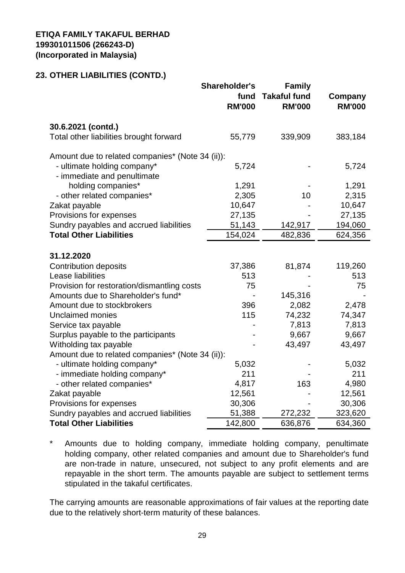## **23. OTHER LIABILITIES (CONTD.)**

|                                                            | Shareholder's<br>fund<br><b>RM'000</b> | <b>Family</b><br><b>Takaful fund</b><br><b>RM'000</b> | Company<br><b>RM'000</b> |
|------------------------------------------------------------|----------------------------------------|-------------------------------------------------------|--------------------------|
| 30.6.2021 (contd.)                                         |                                        |                                                       |                          |
| Total other liabilities brought forward                    | 55,779                                 | 339,909                                               | 383,184                  |
| Amount due to related companies* (Note 34 (ii)):           |                                        |                                                       |                          |
| - ultimate holding company*<br>- immediate and penultimate | 5,724                                  |                                                       | 5,724                    |
| holding companies*                                         | 1,291                                  |                                                       | 1,291                    |
| - other related companies*                                 | 2,305                                  | 10                                                    | 2,315                    |
| Zakat payable                                              | 10,647                                 |                                                       | 10,647                   |
| Provisions for expenses                                    | 27,135                                 |                                                       | 27,135                   |
| Sundry payables and accrued liabilities                    | 51,143                                 | 142,917                                               | 194,060                  |
| <b>Total Other Liabilities</b>                             | 154,024                                | 482,836                                               | 624,356                  |
|                                                            |                                        |                                                       |                          |
| 31.12.2020                                                 |                                        |                                                       |                          |
| <b>Contribution deposits</b>                               | 37,386                                 | 81,874                                                | 119,260                  |
| Lease liabilities                                          | 513                                    |                                                       | 513                      |
| Provision for restoration/dismantling costs                | 75                                     |                                                       | 75                       |
| Amounts due to Shareholder's fund*                         |                                        | 145,316                                               |                          |
| Amount due to stockbrokers<br><b>Unclaimed monies</b>      | 396<br>115                             | 2,082<br>74,232                                       | 2,478<br>74,347          |
|                                                            |                                        | 7,813                                                 | 7,813                    |
| Service tax payable<br>Surplus payable to the participants |                                        | 9,667                                                 | 9,667                    |
| Witholding tax payable                                     |                                        | 43,497                                                | 43,497                   |
| Amount due to related companies* (Note 34 (ii)):           |                                        |                                                       |                          |
| - ultimate holding company*                                | 5,032                                  |                                                       | 5,032                    |
| - immediate holding company*                               | 211                                    |                                                       | 211                      |
| - other related companies*                                 | 4,817                                  | 163                                                   | 4,980                    |
| Zakat payable                                              | 12,561                                 |                                                       | 12,561                   |
| Provisions for expenses                                    | 30,306                                 |                                                       | 30,306                   |
| Sundry payables and accrued liabilities                    | 51,388                                 | 272,232                                               | 323,620                  |
| <b>Total Other Liabilities</b>                             | 142,800                                | 636,876                                               | 634,360                  |

\* Amounts due to holding company, immediate holding company, penultimate holding company, other related companies and amount due to Shareholder's fund are non-trade in nature, unsecured, not subject to any profit elements and are repayable in the short term. The amounts payable are subject to settlement terms stipulated in the takaful certificates.

The carrying amounts are reasonable approximations of fair values at the reporting date due to the relatively short-term maturity of these balances.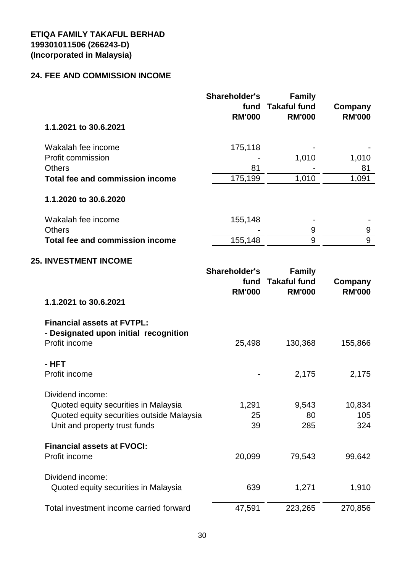#### **24. FEE AND COMMISSION INCOME**

| 1.1.2021 to 30.6.2021                       | Shareholder's<br>fund<br><b>RM'000</b> | <b>Family</b><br><b>Takaful fund</b><br><b>RM'000</b> | Company<br><b>RM'000</b> |
|---------------------------------------------|----------------------------------------|-------------------------------------------------------|--------------------------|
| Wakalah fee income                          | 175,118                                |                                                       |                          |
| Profit commission                           |                                        | 1,010                                                 | 1,010                    |
| <b>Others</b>                               | 81                                     |                                                       | 81                       |
| Total fee and commission income             | 175,199                                | 1,010                                                 | 1,091                    |
| 1.1.2020 to 30.6.2020<br>Wakalah fee income | 155,148                                |                                                       |                          |
| <b>Others</b>                               |                                        | 9                                                     | 9                        |
| Total fee and commission income             | 155,148                                | 9                                                     | 9                        |
|                                             |                                        |                                                       |                          |

# **25. INVESTMENT INCOME**

| 1.1.2021 to 30.6.2021                                                                                                                  | <b>Shareholder's</b><br>fund<br><b>RM'000</b> | <b>Family</b><br><b>Takaful fund</b><br><b>RM'000</b> | Company<br><b>RM'000</b> |
|----------------------------------------------------------------------------------------------------------------------------------------|-----------------------------------------------|-------------------------------------------------------|--------------------------|
| <b>Financial assets at FVTPL:</b><br>- Designated upon initial recognition<br>Profit income                                            | 25,498                                        | 130,368                                               | 155,866                  |
| - HFT<br>Profit income                                                                                                                 |                                               | 2,175                                                 | 2,175                    |
| Dividend income:<br>Quoted equity securities in Malaysia<br>Quoted equity securities outside Malaysia<br>Unit and property trust funds | 1,291<br>25<br>39                             | 9,543<br>80<br>285                                    | 10,834<br>105<br>324     |
| <b>Financial assets at FVOCI:</b><br>Profit income                                                                                     | 20,099                                        | 79,543                                                | 99,642                   |
| Dividend income:<br>Quoted equity securities in Malaysia                                                                               | 639                                           | 1,271                                                 | 1,910                    |
| Total investment income carried forward                                                                                                | 47,591                                        | 223,265                                               | 270,856                  |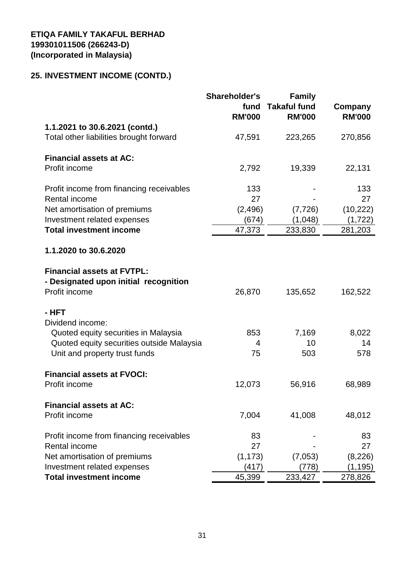# **25. INVESTMENT INCOME (CONTD.)**

|                                                                                             | Shareholder's<br>fund<br><b>RM'000</b> | <b>Family</b><br><b>Takaful fund</b><br><b>RM'000</b> | Company<br><b>RM'000</b> |
|---------------------------------------------------------------------------------------------|----------------------------------------|-------------------------------------------------------|--------------------------|
| 1.1.2021 to 30.6.2021 (contd.)<br>Total other liabilities brought forward                   | 47,591                                 | 223,265                                               | 270,856                  |
| <b>Financial assets at AC:</b><br>Profit income                                             | 2,792                                  | 19,339                                                | 22,131                   |
| Profit income from financing receivables<br>Rental income                                   | 133<br>27                              |                                                       | 133<br>27                |
| Net amortisation of premiums<br>Investment related expenses                                 | (2, 496)<br>(674)                      | (7, 726)<br>(1,048)                                   | (10, 222)<br>(1,722)     |
| <b>Total investment income</b>                                                              | 47,373                                 | 233,830                                               | 281,203                  |
| 1.1.2020 to 30.6.2020                                                                       |                                        |                                                       |                          |
| <b>Financial assets at FVTPL:</b><br>- Designated upon initial recognition<br>Profit income | 26,870                                 | 135,652                                               | 162,522                  |
| - HFT<br>Dividend income:                                                                   |                                        |                                                       |                          |
| Quoted equity securities in Malaysia                                                        | 853                                    | 7,169                                                 | 8,022                    |
| Quoted equity securities outside Malaysia                                                   | 4                                      | 10                                                    | 14                       |
| Unit and property trust funds                                                               | 75                                     | 503                                                   | 578                      |
| <b>Financial assets at FVOCI:</b>                                                           |                                        |                                                       |                          |
| Profit income                                                                               | 12,073                                 | 56,916                                                | 68,989                   |
| <b>Financial assets at AC:</b>                                                              |                                        |                                                       |                          |
| Profit income                                                                               | 7,004                                  | 41,008                                                | 48,012                   |
| Profit income from financing receivables                                                    | 83                                     |                                                       | 83                       |
| Rental income                                                                               | 27                                     |                                                       | 27                       |
| Net amortisation of premiums<br>Investment related expenses                                 | (1, 173)<br>(417)                      | (7,053)<br>(778)                                      | (8,226)                  |
| <b>Total investment income</b>                                                              | 45,399                                 | 233,427                                               | (1, 195)<br>278,826      |
|                                                                                             |                                        |                                                       |                          |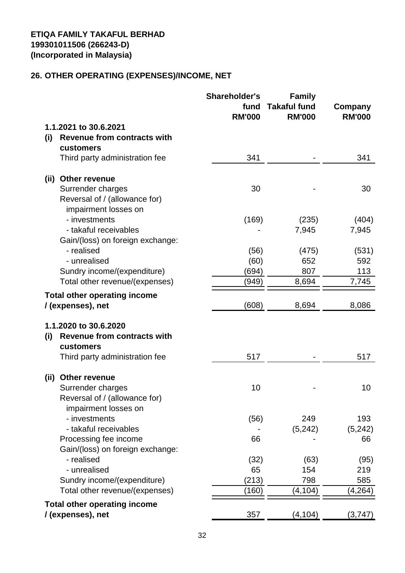# **26. OTHER OPERATING (EXPENSES)/INCOME, NET**

|      |                                             | <b>Shareholder's</b><br>fund<br><b>RM'000</b> | <b>Family</b><br><b>Takaful fund</b><br><b>RM'000</b> | Company<br><b>RM'000</b> |
|------|---------------------------------------------|-----------------------------------------------|-------------------------------------------------------|--------------------------|
|      | 1.1.2021 to 30.6.2021                       |                                               |                                                       |                          |
| (i)  | <b>Revenue from contracts with</b>          |                                               |                                                       |                          |
|      | customers<br>Third party administration fee | 341                                           |                                                       | 341                      |
|      | (ii) Other revenue                          |                                               |                                                       |                          |
|      | Surrender charges                           | 30                                            |                                                       | 30                       |
|      | Reversal of / (allowance for)               |                                               |                                                       |                          |
|      | impairment losses on                        |                                               |                                                       |                          |
|      | - investments                               | (169)                                         | (235)                                                 | (404)                    |
|      | - takaful receivables                       |                                               | 7,945                                                 | 7,945                    |
|      | Gain/(loss) on foreign exchange:            |                                               |                                                       |                          |
|      | - realised                                  | (56)                                          | (475)                                                 | (531)                    |
|      | - unrealised                                | (60)                                          | 652                                                   | 592                      |
|      | Sundry income/(expenditure)                 | (694)                                         | 807                                                   | 113                      |
|      | Total other revenue/(expenses)              | (949)                                         | 8,694                                                 | 7,745                    |
|      | <b>Total other operating income</b>         |                                               |                                                       |                          |
|      | / (expenses), net                           | (608)                                         | 8,694                                                 | 8,086                    |
|      | 1.1.2020 to 30.6.2020                       |                                               |                                                       |                          |
| (i)  | <b>Revenue from contracts with</b>          |                                               |                                                       |                          |
|      | customers                                   |                                               |                                                       |                          |
|      | Third party administration fee              | 517                                           |                                                       | 517                      |
| (ii) | Other revenue                               |                                               |                                                       |                          |
|      | Surrender charges                           | 10                                            |                                                       | 10                       |
|      | Reversal of / (allowance for)               |                                               |                                                       |                          |
|      | impairment losses on                        |                                               |                                                       |                          |
|      | - investments                               | (56)                                          | 249                                                   | 193                      |
|      | - takaful receivables                       |                                               | (5, 242)                                              | (5, 242)                 |
|      | Processing fee income                       | 66                                            |                                                       | 66                       |
|      | Gain/(loss) on foreign exchange:            |                                               |                                                       |                          |
|      | - realised                                  | (32)                                          | (63)                                                  | (95)                     |
|      | - unrealised<br>Sundry income/(expenditure) | 65                                            | 154<br>798                                            | 219                      |
|      | Total other revenue/(expenses)              | (213)<br>(160)                                | (4,104)                                               | 585<br>(4,264)           |
|      |                                             |                                               |                                                       |                          |
|      | <b>Total other operating income</b>         |                                               |                                                       |                          |
|      | / (expenses), net                           | 357                                           | (4, 104)                                              | (3,747)                  |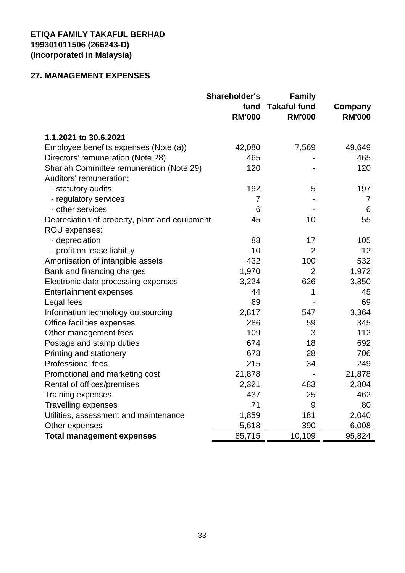# **27. MANAGEMENT EXPENSES**

|                                               | <b>Shareholder's</b><br>fund<br><b>RM'000</b> | <b>Family</b><br><b>Takaful fund</b><br><b>RM'000</b> | Company<br><b>RM'000</b> |
|-----------------------------------------------|-----------------------------------------------|-------------------------------------------------------|--------------------------|
| 1.1.2021 to 30.6.2021                         |                                               |                                                       |                          |
| Employee benefits expenses (Note (a))         | 42,080                                        | 7,569                                                 | 49,649                   |
| Directors' remuneration (Note 28)             | 465                                           |                                                       | 465                      |
| Shariah Committee remuneration (Note 29)      | 120                                           |                                                       | 120                      |
| Auditors' remuneration:                       |                                               |                                                       |                          |
| - statutory audits                            | 192                                           | 5                                                     | 197                      |
| - regulatory services                         | $\overline{7}$                                |                                                       | 7                        |
| - other services                              | 6                                             |                                                       | 6                        |
| Depreciation of property, plant and equipment | 45                                            | 10                                                    | 55                       |
| ROU expenses:                                 |                                               |                                                       |                          |
| - depreciation                                | 88                                            | 17                                                    | 105                      |
| - profit on lease liability                   | 10                                            | $\overline{2}$                                        | 12                       |
| Amortisation of intangible assets             | 432                                           | 100                                                   | 532                      |
| Bank and financing charges                    | 1,970                                         | $\overline{2}$                                        | 1,972                    |
| Electronic data processing expenses           | 3,224                                         | 626                                                   | 3,850                    |
| <b>Entertainment expenses</b>                 | 44                                            | 1                                                     | 45                       |
| Legal fees                                    | 69                                            |                                                       | 69                       |
| Information technology outsourcing            | 2,817                                         | 547                                                   | 3,364                    |
| Office facilities expenses                    | 286                                           | 59                                                    | 345                      |
| Other management fees                         | 109                                           | 3                                                     | 112                      |
| Postage and stamp duties                      | 674                                           | 18                                                    | 692                      |
| Printing and stationery                       | 678                                           | 28                                                    | 706                      |
| <b>Professional fees</b>                      | 215                                           | 34                                                    | 249                      |
| Promotional and marketing cost                | 21,878                                        |                                                       | 21,878                   |
| Rental of offices/premises                    | 2,321                                         | 483                                                   | 2,804                    |
| <b>Training expenses</b>                      | 437                                           | 25                                                    | 462                      |
| <b>Travelling expenses</b>                    | 71                                            | 9                                                     | 80                       |
| Utilities, assessment and maintenance         | 1,859                                         | 181                                                   | 2,040                    |
| Other expenses                                | 5,618                                         | 390                                                   | 6,008                    |
| <b>Total management expenses</b>              | 85,715                                        | 10,109                                                | 95,824                   |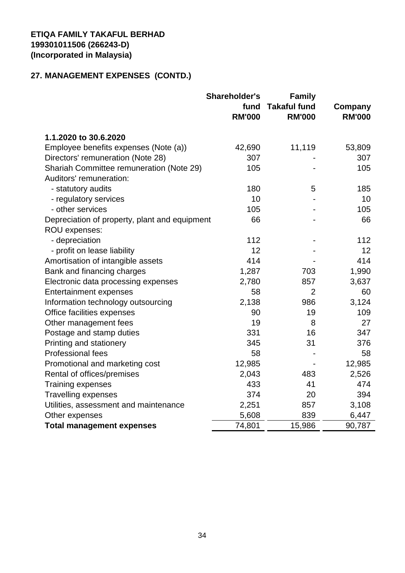# **27. MANAGEMENT EXPENSES (CONTD.)**

|                                               | <b>Shareholder's</b><br>fund | <b>Family</b><br><b>Takaful fund</b> | Company       |
|-----------------------------------------------|------------------------------|--------------------------------------|---------------|
|                                               | <b>RM'000</b>                | <b>RM'000</b>                        | <b>RM'000</b> |
| 1.1.2020 to 30.6.2020                         |                              |                                      |               |
| Employee benefits expenses (Note (a))         | 42,690                       | 11,119                               | 53,809        |
| Directors' remuneration (Note 28)             | 307                          |                                      | 307           |
| Shariah Committee remuneration (Note 29)      | 105                          |                                      | 105           |
| Auditors' remuneration:                       |                              |                                      |               |
| - statutory audits                            | 180                          | 5                                    | 185           |
| - regulatory services                         | 10                           |                                      | 10            |
| - other services                              | 105                          |                                      | 105           |
| Depreciation of property, plant and equipment | 66                           |                                      | 66            |
| ROU expenses:                                 |                              |                                      |               |
| - depreciation                                | 112                          |                                      | 112           |
| - profit on lease liability                   | 12                           |                                      | 12            |
| Amortisation of intangible assets             | 414                          |                                      | 414           |
| Bank and financing charges                    | 1,287                        | 703                                  | 1,990         |
| Electronic data processing expenses           | 2,780                        | 857                                  | 3,637         |
| <b>Entertainment expenses</b>                 | 58                           | $\overline{2}$                       | 60            |
| Information technology outsourcing            | 2,138                        | 986                                  | 3,124         |
| Office facilities expenses                    | 90                           | 19                                   | 109           |
| Other management fees                         | 19                           | 8                                    | 27            |
| Postage and stamp duties                      | 331                          | 16                                   | 347           |
| Printing and stationery                       | 345                          | 31                                   | 376           |
| <b>Professional fees</b>                      | 58                           |                                      | 58            |
| Promotional and marketing cost                | 12,985                       |                                      | 12,985        |
| Rental of offices/premises                    | 2,043                        | 483                                  | 2,526         |
| <b>Training expenses</b>                      | 433                          | 41                                   | 474           |
| <b>Travelling expenses</b>                    | 374                          | 20                                   | 394           |
| Utilities, assessment and maintenance         | 2,251                        | 857                                  | 3,108         |
| Other expenses                                | 5,608                        | 839                                  | 6,447         |
| <b>Total management expenses</b>              | 74,801                       | 15,986                               | 90,787        |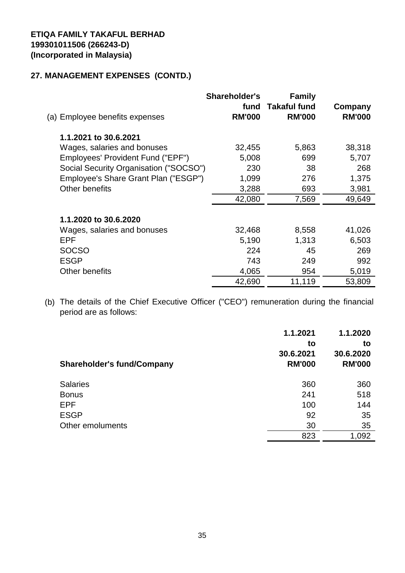# **27. MANAGEMENT EXPENSES (CONTD.)**

| (a) Employee benefits expenses         | Shareholder's<br>fund<br><b>RM'000</b> | <b>Family</b><br><b>Takaful fund</b><br><b>RM'000</b> | Company<br><b>RM'000</b> |
|----------------------------------------|----------------------------------------|-------------------------------------------------------|--------------------------|
| 1.1.2021 to 30.6.2021                  |                                        |                                                       |                          |
| Wages, salaries and bonuses            | 32,455                                 | 5,863                                                 | 38,318                   |
| Employees' Provident Fund ("EPF")      | 5,008                                  | 699                                                   | 5,707                    |
| Social Security Organisation ("SOCSO") | 230                                    | 38                                                    | 268                      |
| Employee's Share Grant Plan ("ESGP")   | 1,099                                  | 276                                                   | 1,375                    |
| Other benefits                         | 3,288                                  | 693                                                   | 3,981                    |
|                                        | 42,080                                 | 7,569                                                 | 49,649                   |
| 1.1.2020 to 30.6.2020                  |                                        |                                                       |                          |
| Wages, salaries and bonuses            | 32,468                                 | 8,558                                                 | 41,026                   |
| EPF                                    | 5,190                                  | 1,313                                                 | 6,503                    |
| <b>SOCSO</b>                           | 224                                    | 45                                                    | 269                      |
| <b>ESGP</b>                            | 743                                    | 249                                                   | 992                      |
| Other benefits                         | 4,065                                  | 954                                                   | 5,019                    |
|                                        | 42,690                                 | 11,119                                                | 53,809                   |

(b) The details of the Chief Executive Officer ("CEO") remuneration during the financial period are as follows:

| <b>Shareholder's fund/Company</b> | 1.1.2021<br>to<br>30.6.2021<br><b>RM'000</b> | 1.1.2020<br>to<br>30.6.2020<br><b>RM'000</b> |
|-----------------------------------|----------------------------------------------|----------------------------------------------|
| <b>Salaries</b>                   | 360                                          | 360                                          |
| <b>Bonus</b>                      | 241                                          | 518                                          |
| <b>EPF</b>                        | 100                                          | 144                                          |
| <b>ESGP</b>                       | 92                                           | 35                                           |
| Other emoluments                  | 30                                           | 35                                           |
|                                   | 823                                          | 1,092                                        |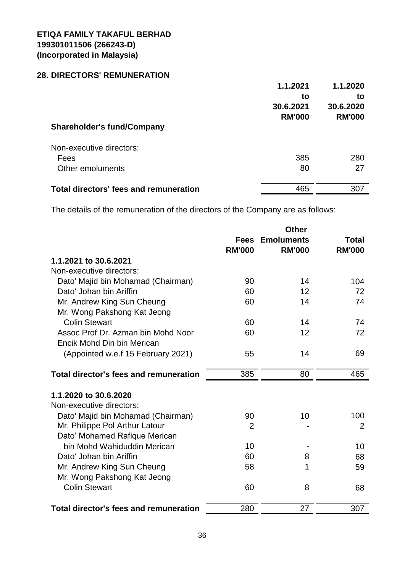# **28. DIRECTORS' REMUNERATION**

|                                        | 1.1.2021      | 1.1.2020      |
|----------------------------------------|---------------|---------------|
|                                        | to            | to            |
|                                        | 30.6.2021     | 30.6.2020     |
|                                        | <b>RM'000</b> | <b>RM'000</b> |
| <b>Shareholder's fund/Company</b>      |               |               |
| Non-executive directors:               |               |               |
| Fees                                   | 385           | 280           |
| Other emoluments                       | 80            | 27            |
| Total directors' fees and remuneration | 465           | 307           |

The details of the remuneration of the directors of the Company are as follows:

|                                               |                | <b>Other</b>      |                |
|-----------------------------------------------|----------------|-------------------|----------------|
|                                               | <b>Fees</b>    | <b>Emoluments</b> | <b>Total</b>   |
|                                               | <b>RM'000</b>  | <b>RM'000</b>     | <b>RM'000</b>  |
| 1.1.2021 to 30.6.2021                         |                |                   |                |
| Non-executive directors:                      |                |                   |                |
| Dato' Majid bin Mohamad (Chairman)            | 90             | 14                | 104            |
| Dato' Johan bin Ariffin                       | 60             | 12                | 72             |
| Mr. Andrew King Sun Cheung                    | 60             | 14                | 74             |
| Mr. Wong Pakshong Kat Jeong                   |                |                   |                |
| <b>Colin Stewart</b>                          | 60             | 14                | 74             |
| Assoc Prof Dr. Azman bin Mohd Noor            | 60             | 12                | 72             |
| Encik Mohd Din bin Merican                    |                |                   |                |
| (Appointed w.e.f 15 February 2021)            | 55             | 14                | 69             |
| <b>Total director's fees and remuneration</b> | 385            | 80                | 465            |
|                                               |                |                   |                |
| 1.1.2020 to 30.6.2020                         |                |                   |                |
| Non-executive directors:                      |                |                   |                |
| Dato' Majid bin Mohamad (Chairman)            | 90             | 10                | 100            |
| Mr. Philippe Pol Arthur Latour                | $\overline{2}$ |                   | $\overline{2}$ |
| Dato' Mohamed Rafique Merican                 |                |                   |                |
| bin Mohd Wahiduddin Merican                   | 10             |                   | 10             |
| Dato' Johan bin Ariffin                       | 60             | 8                 | 68             |
| Mr. Andrew King Sun Cheung                    | 58             | 1                 | 59             |
| Mr. Wong Pakshong Kat Jeong                   |                |                   |                |
| <b>Colin Stewart</b>                          | 60             | 8                 | 68             |
| <b>Total director's fees and remuneration</b> | 280            | 27                | 307            |
|                                               |                |                   |                |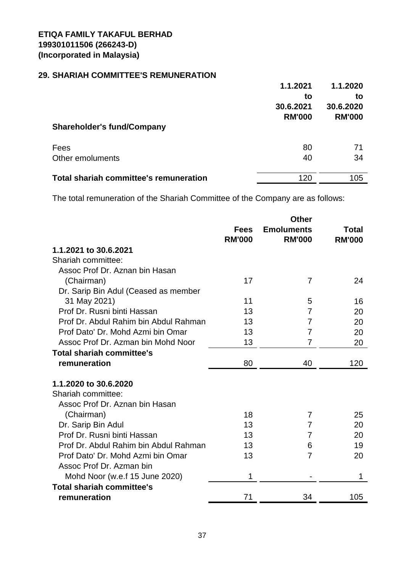# **29. SHARIAH COMMITTEE'S REMUNERATION**

|                                               | 1.1.2021<br>to             | 1.1.2020<br>to             |
|-----------------------------------------------|----------------------------|----------------------------|
|                                               | 30.6.2021<br><b>RM'000</b> | 30.6.2020<br><b>RM'000</b> |
| <b>Shareholder's fund/Company</b>             |                            |                            |
| Fees                                          | 80                         | 71                         |
| Other emoluments                              | 40                         | 34                         |
| <b>Total shariah committee's remuneration</b> | 120                        | 105                        |

The total remuneration of the Shariah Committee of the Company are as follows:

|                                       |                              | <b>Other</b>                       |                        |
|---------------------------------------|------------------------------|------------------------------------|------------------------|
|                                       | <b>Fees</b><br><b>RM'000</b> | <b>Emoluments</b><br><b>RM'000</b> | Total<br><b>RM'000</b> |
| 1.1.2021 to 30.6.2021                 |                              |                                    |                        |
| Shariah committee:                    |                              |                                    |                        |
| Assoc Prof Dr. Aznan bin Hasan        |                              |                                    |                        |
| (Chairman)                            | 17                           | 7                                  | 24                     |
| Dr. Sarip Bin Adul (Ceased as member  |                              |                                    |                        |
| 31 May 2021)                          | 11                           | 5                                  | 16                     |
| Prof Dr. Rusni binti Hassan           | 13                           | 7                                  | 20                     |
| Prof Dr. Abdul Rahim bin Abdul Rahman | 13                           | 7                                  | 20                     |
| Prof Dato' Dr. Mohd Azmi bin Omar     | 13                           | 7                                  | 20                     |
| Assoc Prof Dr. Azman bin Mohd Noor    | 13                           | 7                                  | 20                     |
| <b>Total shariah committee's</b>      |                              |                                    |                        |
| remuneration                          | 80                           | 40                                 | 120                    |
| 1.1.2020 to 30.6.2020                 |                              |                                    |                        |
| Shariah committee:                    |                              |                                    |                        |
| Assoc Prof Dr. Aznan bin Hasan        |                              |                                    |                        |
| (Chairman)                            | 18                           | 7                                  | 25                     |
| Dr. Sarip Bin Adul                    | 13                           | 7                                  | 20                     |
| Prof Dr. Rusni binti Hassan           | 13                           | 7                                  | 20                     |
| Prof Dr. Abdul Rahim bin Abdul Rahman | 13                           | 6                                  | 19                     |
| Prof Dato' Dr. Mohd Azmi bin Omar     | 13                           | 7                                  | 20                     |
| Assoc Prof Dr. Azman bin              |                              |                                    |                        |
| Mohd Noor (w.e.f 15 June 2020)        | 1                            |                                    | 1                      |
| <b>Total shariah committee's</b>      |                              |                                    |                        |
| remuneration                          | 71                           | 34                                 | 105                    |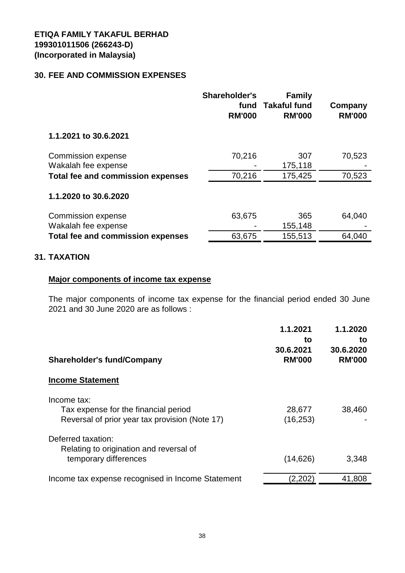#### **30. FEE AND COMMISSION EXPENSES**

|                                          | <b>Shareholder's</b><br>fund<br><b>RM'000</b> | <b>Family</b><br><b>Takaful fund</b><br><b>RM'000</b> | Company<br><b>RM'000</b> |
|------------------------------------------|-----------------------------------------------|-------------------------------------------------------|--------------------------|
| 1.1.2021 to 30.6.2021                    |                                               |                                                       |                          |
| Commission expense                       | 70,216                                        | 307                                                   | 70,523                   |
| Wakalah fee expense                      |                                               | 175,118                                               |                          |
| <b>Total fee and commission expenses</b> | 70,216                                        | 175,425                                               | 70,523                   |
| 1.1.2020 to 30.6.2020                    |                                               |                                                       |                          |
| <b>Commission expense</b>                | 63,675                                        | 365                                                   | 64,040                   |
| Wakalah fee expense                      |                                               | 155,148                                               |                          |
| <b>Total fee and commission expenses</b> | 63,675                                        | 155,513                                               | 64,040                   |

#### **31. TAXATION**

#### **Major components of income tax expense**

The major components of income tax expense for the financial period ended 30 June 2021 and 30 June 2020 are as follows :

|                                                                                                       | 1.1.2021<br>to<br>30.6.2021 | 1.1.2020<br>to<br>30.6.2020 |
|-------------------------------------------------------------------------------------------------------|-----------------------------|-----------------------------|
| <b>Shareholder's fund/Company</b>                                                                     | <b>RM'000</b>               | <b>RM'000</b>               |
| <b>Income Statement</b>                                                                               |                             |                             |
| Income tax:<br>Tax expense for the financial period<br>Reversal of prior year tax provision (Note 17) | 28,677<br>(16, 253)         | 38,460                      |
| Deferred taxation:<br>Relating to origination and reversal of<br>temporary differences                | (14, 626)                   | 3,348                       |
| Income tax expense recognised in Income Statement                                                     | (2, 202)                    | 41,808                      |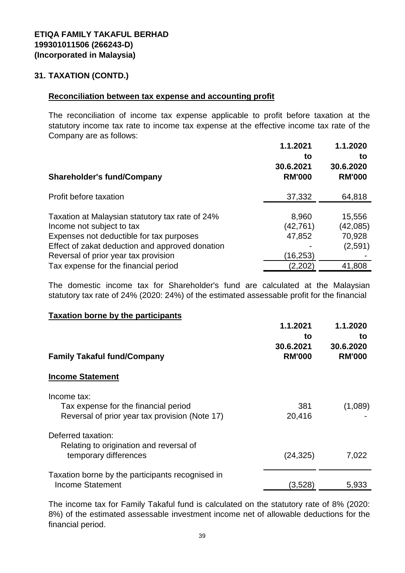#### **31. TAXATION (CONTD.)**

#### **Reconciliation between tax expense and accounting profit**

The reconciliation of income tax expense applicable to profit before taxation at the statutory income tax rate to income tax expense at the effective income tax rate of the Company are as follows:

|                                                 | 1.1.2021      | 1.1.2020      |
|-------------------------------------------------|---------------|---------------|
|                                                 | to            | to            |
|                                                 | 30.6.2021     | 30.6.2020     |
| <b>Shareholder's fund/Company</b>               | <b>RM'000</b> | <b>RM'000</b> |
| Profit before taxation                          | 37,332        | 64,818        |
| Taxation at Malaysian statutory tax rate of 24% | 8,960         | 15,556        |
| Income not subject to tax                       | (42,761)      | (42, 085)     |
| Expenses not deductible for tax purposes        | 47,852        | 70,928        |
| Effect of zakat deduction and approved donation |               | (2,591)       |
| Reversal of prior year tax provision            | (16,253)      |               |
| Tax expense for the financial period            | (2,202)       | 41,808        |

The domestic income tax for Shareholder's fund are calculated at the Malaysian statutory tax rate of 24% (2020: 24%) of the estimated assessable profit for the financial

#### **Taxation borne by the participants**

| <b>Family Takaful fund/Company</b>                                                                    | 1.1.2021<br>to<br>30.6.2021<br><b>RM'000</b> | 1.1.2020<br>to<br>30.6.2020<br><b>RM'000</b> |
|-------------------------------------------------------------------------------------------------------|----------------------------------------------|----------------------------------------------|
| <b>Income Statement</b>                                                                               |                                              |                                              |
| Income tax:<br>Tax expense for the financial period<br>Reversal of prior year tax provision (Note 17) | 381<br>20,416                                | (1,089)                                      |
| Deferred taxation:<br>Relating to origination and reversal of<br>temporary differences                | (24, 325)                                    | 7,022                                        |
| Taxation borne by the participants recognised in<br><b>Income Statement</b>                           | (3,528)                                      | 5,933                                        |

The income tax for Family Takaful fund is calculated on the statutory rate of 8% (2020: 8%) of the estimated assessable investment income net of allowable deductions for the financial period.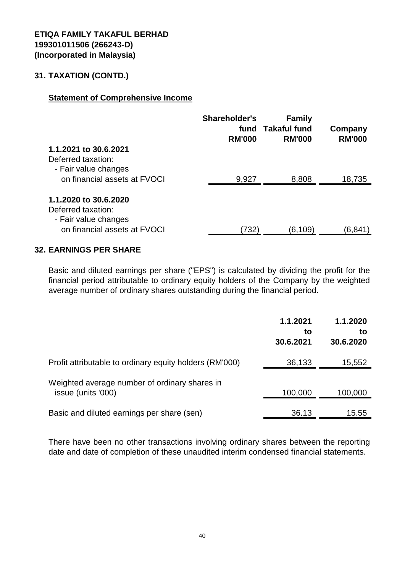#### **31. TAXATION (CONTD.)**

#### **Statement of Comprehensive Income**

|                              | Shareholder's<br>fund<br><b>RM'000</b> | <b>Family</b><br><b>Takaful fund</b><br><b>RM'000</b> | Company<br><b>RM'000</b> |
|------------------------------|----------------------------------------|-------------------------------------------------------|--------------------------|
| 1.1.2021 to 30.6.2021        |                                        |                                                       |                          |
| Deferred taxation:           |                                        |                                                       |                          |
| - Fair value changes         |                                        |                                                       |                          |
| on financial assets at FVOCI | 9,927                                  | 8,808                                                 | 18,735                   |
| 1.1.2020 to 30.6.2020        |                                        |                                                       |                          |
| Deferred taxation:           |                                        |                                                       |                          |
| - Fair value changes         |                                        |                                                       |                          |
| on financial assets at FVOCI | 732)                                   | (6,109)                                               | (6,841                   |

#### **32. EARNINGS PER SHARE**

Basic and diluted earnings per share ("EPS") is calculated by dividing the profit for the financial period attributable to ordinary equity holders of the Company by the weighted average number of ordinary shares outstanding during the financial period.

|                                                                     | 1.1.2021<br>to<br>30.6.2021 | 1.1.2020<br>to<br>30.6.2020 |
|---------------------------------------------------------------------|-----------------------------|-----------------------------|
| Profit attributable to ordinary equity holders (RM'000)             | 36,133                      | 15,552                      |
| Weighted average number of ordinary shares in<br>issue (units '000) | 100,000                     | 100,000                     |
| Basic and diluted earnings per share (sen)                          | 36.13                       | 15.55                       |

There have been no other transactions involving ordinary shares between the reporting date and date of completion of these unaudited interim condensed financial statements.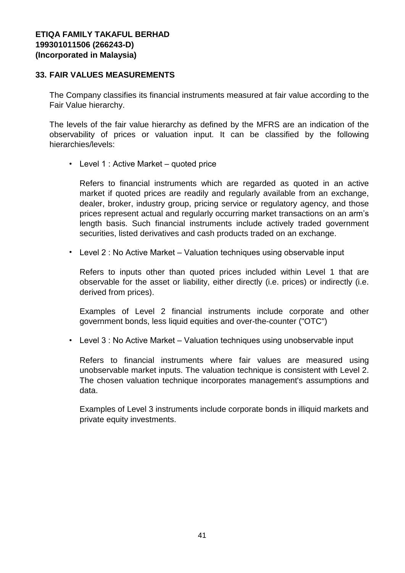#### **33. FAIR VALUES MEASUREMENTS**

The Company classifies its financial instruments measured at fair value according to the Fair Value hierarchy.

The levels of the fair value hierarchy as defined by the MFRS are an indication of the observability of prices or valuation input. It can be classified by the following hierarchies/levels:

• Level 1 : Active Market – quoted price

Refers to financial instruments which are regarded as quoted in an active market if quoted prices are readily and regularly available from an exchange, dealer, broker, industry group, pricing service or regulatory agency, and those prices represent actual and regularly occurring market transactions on an arm's length basis. Such financial instruments include actively traded government securities, listed derivatives and cash products traded on an exchange.

• Level 2 : No Active Market – Valuation techniques using observable input

Refers to inputs other than quoted prices included within Level 1 that are observable for the asset or liability, either directly (i.e. prices) or indirectly (i.e. derived from prices).

Examples of Level 2 financial instruments include corporate and other government bonds, less liquid equities and over-the-counter ("OTC")

• Level 3 : No Active Market – Valuation techniques using unobservable input

Refers to financial instruments where fair values are measured using unobservable market inputs. The valuation technique is consistent with Level 2. The chosen valuation technique incorporates management's assumptions and data.

Examples of Level 3 instruments include corporate bonds in illiquid markets and private equity investments.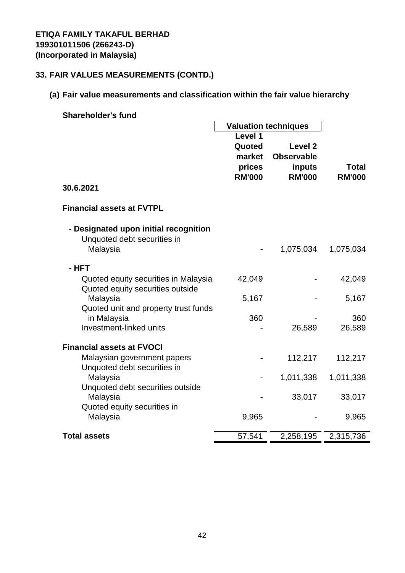# **33. FAIR VALUES MEASUREMENTS (CONTD.)**

# **(a) Fair value measurements and classification within the fair value hierarchy**

| <b>Shareholder's fund</b>                           |                             |                    |               |
|-----------------------------------------------------|-----------------------------|--------------------|---------------|
|                                                     | <b>Valuation techniques</b> |                    |               |
|                                                     | Level 1                     |                    |               |
|                                                     | Quoted                      | Level <sub>2</sub> |               |
|                                                     | market                      | <b>Observable</b>  |               |
|                                                     | prices                      | inputs             | <b>Total</b>  |
|                                                     | <b>RM'000</b>               | <b>RM'000</b>      | <b>RM'000</b> |
| 30.6.2021                                           |                             |                    |               |
| <b>Financial assets at FVTPL</b>                    |                             |                    |               |
| - Designated upon initial recognition               |                             |                    |               |
| Unquoted debt securities in                         |                             |                    |               |
| Malaysia                                            |                             | 1,075,034          | 1,075,034     |
| - HFT                                               |                             |                    |               |
| Quoted equity securities in Malaysia                | 42,049                      |                    | 42,049        |
| Quoted equity securities outside                    |                             |                    |               |
| Malaysia                                            | 5,167                       |                    | 5,167         |
| Quoted unit and property trust funds<br>in Malaysia | 360                         |                    | 360           |
| Investment-linked units                             |                             | 26,589             | 26,589        |
|                                                     |                             |                    |               |
| <b>Financial assets at FVOCI</b>                    |                             |                    |               |
| Malaysian government papers                         |                             | 112,217            | 112,217       |
| Unquoted debt securities in                         |                             |                    |               |
| Malaysia                                            |                             | 1,011,338          | 1,011,338     |
| Unquoted debt securities outside                    |                             |                    |               |
| Malaysia                                            |                             | 33,017             | 33,017        |
| Quoted equity securities in                         |                             |                    |               |
| Malaysia                                            | 9,965                       |                    | 9,965         |
| <b>Total assets</b>                                 | 57,541                      | 2,258,195          | 2,315,736     |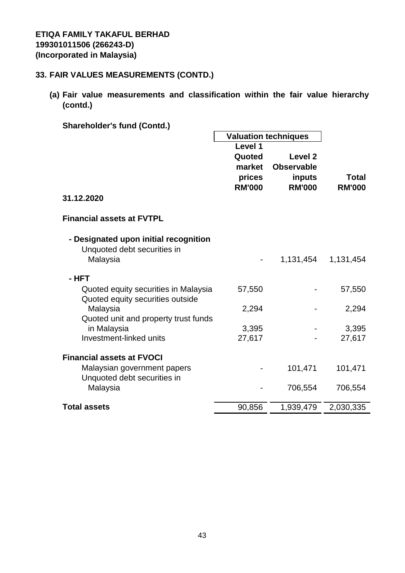# **33. FAIR VALUES MEASUREMENTS (CONTD.)**

**(a) Fair value measurements and classification within the fair value hierarchy (contd.)**

| <b>Shareholder's fund (Contd.)</b>                                       |               |                             |               |
|--------------------------------------------------------------------------|---------------|-----------------------------|---------------|
|                                                                          |               | <b>Valuation techniques</b> |               |
|                                                                          | Level 1       |                             |               |
|                                                                          | Quoted        | Level <sub>2</sub>          |               |
|                                                                          | market        | <b>Observable</b>           |               |
|                                                                          | prices        | inputs                      | <b>Total</b>  |
|                                                                          | <b>RM'000</b> | <b>RM'000</b>               | <b>RM'000</b> |
| 31.12.2020                                                               |               |                             |               |
| <b>Financial assets at FVTPL</b>                                         |               |                             |               |
| - Designated upon initial recognition                                    |               |                             |               |
| Unquoted debt securities in                                              |               |                             |               |
| Malaysia                                                                 |               | 1,131,454                   | 1,131,454     |
| - HFT                                                                    |               |                             |               |
| Quoted equity securities in Malaysia<br>Quoted equity securities outside | 57,550        |                             | 57,550        |
| Malaysia                                                                 | 2,294         |                             | 2,294         |
| Quoted unit and property trust funds                                     |               |                             |               |
| in Malaysia                                                              | 3,395         |                             | 3,395         |
| Investment-linked units                                                  | 27,617        |                             | 27,617        |
|                                                                          |               |                             |               |
| <b>Financial assets at FVOCI</b>                                         |               |                             |               |
| Malaysian government papers                                              |               | 101,471                     | 101,471       |
| Unquoted debt securities in                                              |               |                             |               |
| Malaysia                                                                 |               | 706,554                     | 706,554       |
|                                                                          |               |                             |               |
| <b>Total assets</b>                                                      | 90,856        | 1,939,479                   | 2,030,335     |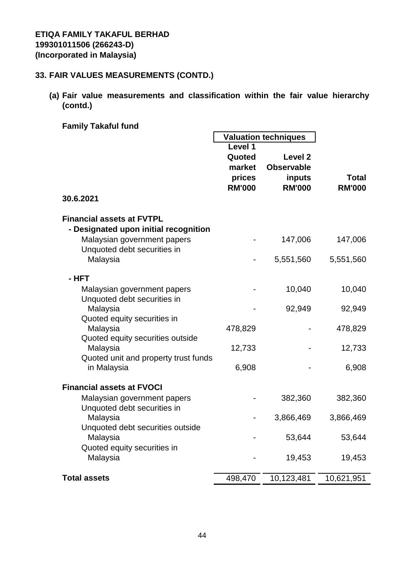# **33. FAIR VALUES MEASUREMENTS (CONTD.)**

- **(a) Fair value measurements and classification within the fair value hierarchy (contd.)**
	- **Family Takaful fund**

|                                                                           | <b>Valuation techniques</b>                            |                                                                    |                               |
|---------------------------------------------------------------------------|--------------------------------------------------------|--------------------------------------------------------------------|-------------------------------|
|                                                                           | Level 1<br>Quoted<br>market<br>prices<br><b>RM'000</b> | Level <sub>2</sub><br><b>Observable</b><br>inputs<br><b>RM'000</b> | <b>Total</b><br><b>RM'000</b> |
| 30.6.2021                                                                 |                                                        |                                                                    |                               |
| <b>Financial assets at FVTPL</b><br>- Designated upon initial recognition |                                                        |                                                                    |                               |
| Malaysian government papers<br>Unquoted debt securities in                |                                                        | 147,006                                                            | 147,006                       |
| Malaysia                                                                  |                                                        | 5,551,560                                                          | 5,551,560                     |
| - HFT                                                                     |                                                        |                                                                    |                               |
| Malaysian government papers<br>Unquoted debt securities in                |                                                        | 10,040                                                             | 10,040                        |
| Malaysia<br>Quoted equity securities in                                   |                                                        | 92,949                                                             | 92,949                        |
| Malaysia                                                                  | 478,829                                                |                                                                    | 478,829                       |
| Quoted equity securities outside<br>Malaysia                              | 12,733                                                 |                                                                    | 12,733                        |
| Quoted unit and property trust funds<br>in Malaysia                       | 6,908                                                  |                                                                    | 6,908                         |
| <b>Financial assets at FVOCI</b>                                          |                                                        |                                                                    |                               |
| Malaysian government papers<br>Unquoted debt securities in                |                                                        | 382,360                                                            | 382,360                       |
| Malaysia                                                                  |                                                        | 3,866,469                                                          | 3,866,469                     |
| Unquoted debt securities outside<br>Malaysia                              |                                                        | 53,644                                                             | 53,644                        |
| Quoted equity securities in<br>Malaysia                                   |                                                        | 19,453                                                             | 19,453                        |
| <b>Total assets</b>                                                       | 498,470                                                | 10,123,481                                                         | 10,621,951                    |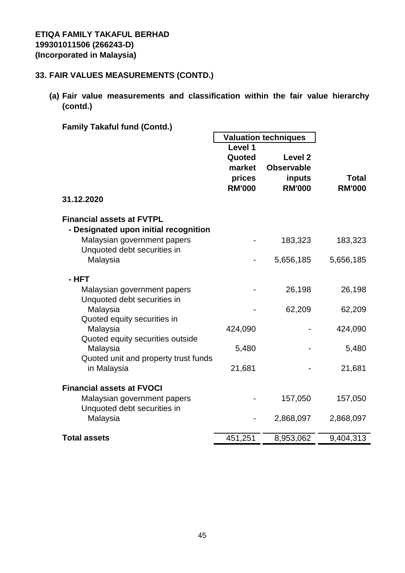# **33. FAIR VALUES MEASUREMENTS (CONTD.)**

**(a) Fair value measurements and classification within the fair value hierarchy (contd.)**

| Level 1       |                                                                     |                                                    |
|---------------|---------------------------------------------------------------------|----------------------------------------------------|
| Quoted        | Level <sub>2</sub>                                                  |                                                    |
| market        | <b>Observable</b>                                                   |                                                    |
| prices        | inputs                                                              | <b>Total</b>                                       |
| <b>RM'000</b> | <b>RM'000</b>                                                       | <b>RM'000</b>                                      |
|               |                                                                     |                                                    |
|               |                                                                     |                                                    |
|               |                                                                     |                                                    |
|               | 183,323                                                             | 183,323                                            |
|               | 5,656,185                                                           | 5,656,185                                          |
|               |                                                                     |                                                    |
|               |                                                                     |                                                    |
|               | 26,198                                                              | 26,198                                             |
|               |                                                                     |                                                    |
|               |                                                                     | 62,209                                             |
|               |                                                                     | 424,090                                            |
|               |                                                                     |                                                    |
|               |                                                                     | 5,480                                              |
|               |                                                                     |                                                    |
| 21,681        |                                                                     | 21,681                                             |
|               |                                                                     |                                                    |
|               | 157,050                                                             | 157,050                                            |
|               |                                                                     |                                                    |
|               | 2,868,097                                                           | 2,868,097                                          |
|               |                                                                     | 9,404,313                                          |
|               | 424,090<br>5,480<br>Quoted unit and property trust funds<br>451,251 | <b>Valuation techniques</b><br>62,209<br>8,953,062 |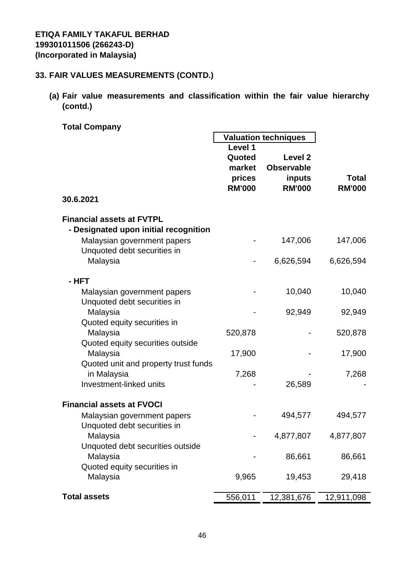# **33. FAIR VALUES MEASUREMENTS (CONTD.)**

**(a) Fair value measurements and classification within the fair value hierarchy (contd.)**

 $\blacksquare$ 

**Total Company**

|                                                                             | <b>Valuation techniques</b>                            |                                                                    |                               |  |
|-----------------------------------------------------------------------------|--------------------------------------------------------|--------------------------------------------------------------------|-------------------------------|--|
|                                                                             | Level 1<br>Quoted<br>market<br>prices<br><b>RM'000</b> | Level <sub>2</sub><br><b>Observable</b><br>inputs<br><b>RM'000</b> | <b>Total</b><br><b>RM'000</b> |  |
| 30.6.2021                                                                   |                                                        |                                                                    |                               |  |
| <b>Financial assets at FVTPL</b><br>- Designated upon initial recognition   |                                                        |                                                                    |                               |  |
| Malaysian government papers<br>Unquoted debt securities in                  |                                                        | 147,006                                                            | 147,006                       |  |
| Malaysia                                                                    |                                                        | 6,626,594                                                          | 6,626,594                     |  |
| - HFT                                                                       |                                                        |                                                                    |                               |  |
| Malaysian government papers<br>Unquoted debt securities in                  |                                                        | 10,040                                                             | 10,040                        |  |
| Malaysia                                                                    |                                                        | 92,949                                                             | 92,949                        |  |
| Quoted equity securities in<br>Malaysia<br>Quoted equity securities outside | 520,878                                                |                                                                    | 520,878                       |  |
| Malaysia                                                                    | 17,900                                                 |                                                                    | 17,900                        |  |
| Quoted unit and property trust funds<br>in Malaysia                         | 7,268                                                  |                                                                    | 7,268                         |  |
| Investment-linked units                                                     |                                                        | 26,589                                                             |                               |  |
| <b>Financial assets at FVOCI</b>                                            |                                                        |                                                                    |                               |  |
| Malaysian government papers<br>Unquoted debt securities in                  |                                                        | 494,577                                                            | 494,577                       |  |
| Malaysia                                                                    |                                                        | 4,877,807                                                          | 4,877,807                     |  |
| Unquoted debt securities outside<br>Malaysia                                |                                                        | 86,661                                                             | 86,661                        |  |
| Quoted equity securities in<br>Malaysia                                     | 9,965                                                  | 19,453                                                             | 29,418                        |  |
| <b>Total assets</b>                                                         | 556,011                                                | 12,381,676                                                         | 12,911,098                    |  |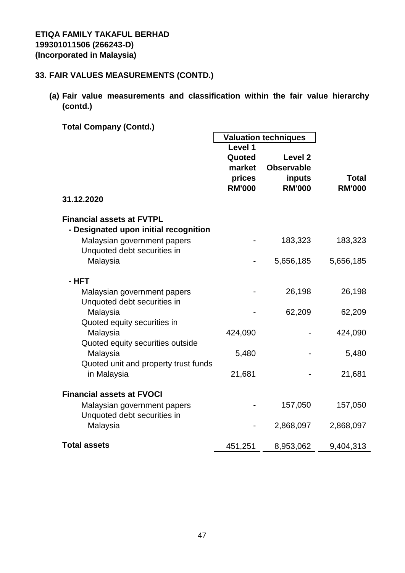# **33. FAIR VALUES MEASUREMENTS (CONTD.)**

**(a) Fair value measurements and classification within the fair value hierarchy (contd.)**

╼

**Total Company (Contd.)**

|                                       |               |                    |               |  | <b>Valuation techniques</b> |  |  |
|---------------------------------------|---------------|--------------------|---------------|--|-----------------------------|--|--|
|                                       | Level 1       |                    |               |  |                             |  |  |
|                                       | Quoted        | Level <sub>2</sub> |               |  |                             |  |  |
|                                       | market        | <b>Observable</b>  |               |  |                             |  |  |
|                                       | prices        | inputs             | <b>Total</b>  |  |                             |  |  |
|                                       | <b>RM'000</b> | <b>RM'000</b>      | <b>RM'000</b> |  |                             |  |  |
| 31.12.2020                            |               |                    |               |  |                             |  |  |
|                                       |               |                    |               |  |                             |  |  |
| <b>Financial assets at FVTPL</b>      |               |                    |               |  |                             |  |  |
| - Designated upon initial recognition |               |                    |               |  |                             |  |  |
| Malaysian government papers           |               | 183,323            | 183,323       |  |                             |  |  |
| Unquoted debt securities in           |               |                    |               |  |                             |  |  |
| Malaysia                              |               | 5,656,185          | 5,656,185     |  |                             |  |  |
|                                       |               |                    |               |  |                             |  |  |
| - HFT                                 |               |                    |               |  |                             |  |  |
| Malaysian government papers           |               | 26,198             | 26,198        |  |                             |  |  |
| Unquoted debt securities in           |               |                    |               |  |                             |  |  |
| Malaysia                              |               | 62,209             | 62,209        |  |                             |  |  |
| Quoted equity securities in           |               |                    |               |  |                             |  |  |
| Malaysia                              | 424,090       |                    | 424,090       |  |                             |  |  |
| Quoted equity securities outside      |               |                    |               |  |                             |  |  |
| Malaysia                              | 5,480         |                    | 5,480         |  |                             |  |  |
| Quoted unit and property trust funds  |               |                    |               |  |                             |  |  |
| in Malaysia                           | 21,681        |                    | 21,681        |  |                             |  |  |
|                                       |               |                    |               |  |                             |  |  |
| <b>Financial assets at FVOCI</b>      |               |                    |               |  |                             |  |  |
| Malaysian government papers           |               | 157,050            | 157,050       |  |                             |  |  |
| Unquoted debt securities in           |               |                    |               |  |                             |  |  |
| Malaysia                              |               | 2,868,097          | 2,868,097     |  |                             |  |  |
|                                       |               |                    |               |  |                             |  |  |
| <b>Total assets</b>                   | 451,251       | 8,953,062          | 9,404,313     |  |                             |  |  |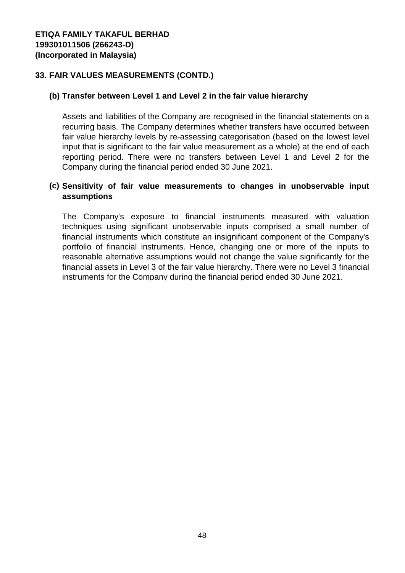### **33. FAIR VALUES MEASUREMENTS (CONTD.)**

#### **(b) Transfer between Level 1 and Level 2 in the fair value hierarchy**

Assets and liabilities of the Company are recognised in the financial statements on a recurring basis. The Company determines whether transfers have occurred between fair value hierarchy levels by re-assessing categorisation (based on the lowest level input that is significant to the fair value measurement as a whole) at the end of each reporting period. There were no transfers between Level 1 and Level 2 for the Company during the financial period ended 30 June 2021.

#### **(c) Sensitivity of fair value measurements to changes in unobservable input assumptions**

The Company's exposure to financial instruments measured with valuation techniques using significant unobservable inputs comprised a small number of financial instruments which constitute an insignificant component of the Company's portfolio of financial instruments. Hence, changing one or more of the inputs to reasonable alternative assumptions would not change the value significantly for the financial assets in Level 3 of the fair value hierarchy. There were no Level 3 financial instruments for the Company during the financial period ended 30 June 2021.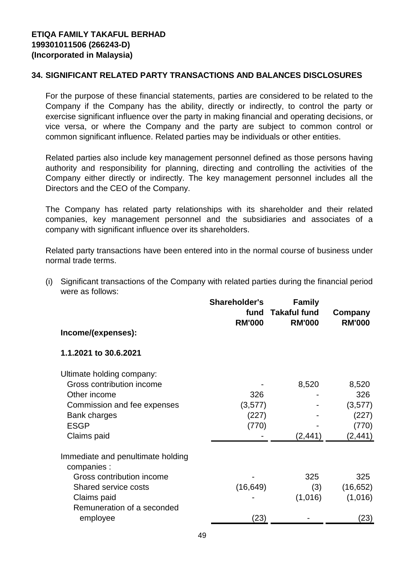#### **34. SIGNIFICANT RELATED PARTY TRANSACTIONS AND BALANCES DISCLOSURES**

For the purpose of these financial statements, parties are considered to be related to the Company if the Company has the ability, directly or indirectly, to control the party or exercise significant influence over the party in making financial and operating decisions, or vice versa, or where the Company and the party are subject to common control or common significant influence. Related parties may be individuals or other entities.

Related parties also include key management personnel defined as those persons having authority and responsibility for planning, directing and controlling the activities of the Company either directly or indirectly. The key management personnel includes all the Directors and the CEO of the Company.

The Company has related party relationships with its shareholder and their related companies, key management personnel and the subsidiaries and associates of a company with significant influence over its shareholders.

Related party transactions have been entered into in the normal course of business under normal trade terms.

(i) Significant transactions of the Company with related parties during the financial period were as follows:

|                                                  | <b>Shareholder's</b><br>fund<br><b>RM'000</b> | <b>Family</b><br><b>Takaful fund</b><br><b>RM'000</b> | Company<br><b>RM'000</b> |
|--------------------------------------------------|-----------------------------------------------|-------------------------------------------------------|--------------------------|
| Income/(expenses):                               |                                               |                                                       |                          |
| 1.1.2021 to 30.6.2021                            |                                               |                                                       |                          |
| Ultimate holding company:                        |                                               |                                                       |                          |
| Gross contribution income                        |                                               | 8,520                                                 | 8,520                    |
| Other income                                     | 326                                           |                                                       | 326                      |
| Commission and fee expenses                      | (3,577)                                       |                                                       | (3,577)                  |
| <b>Bank charges</b>                              | (227)                                         |                                                       | (227)                    |
| <b>ESGP</b>                                      | (770)                                         |                                                       | (770)                    |
| Claims paid                                      |                                               | (2, 441)                                              | (2, 441)                 |
| Immediate and penultimate holding<br>companies : |                                               |                                                       |                          |
| Gross contribution income                        |                                               | 325                                                   | 325                      |
| Shared service costs                             | (16, 649)                                     | (3)                                                   | (16, 652)                |
| Claims paid<br>Remuneration of a seconded        |                                               | (1,016)                                               | (1,016)                  |
| employee                                         | (23)                                          |                                                       | 23)                      |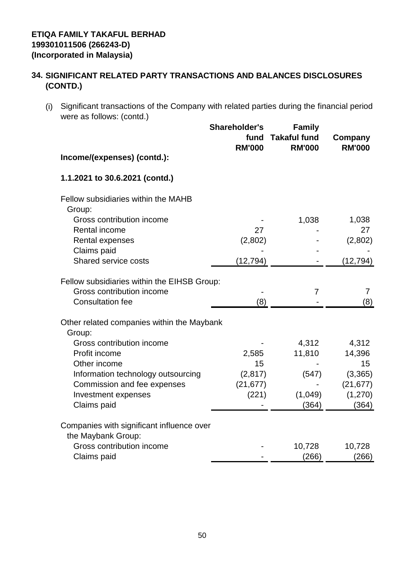(i) Significant transactions of the Company with related parties during the financial period were as follows: (contd.)

|                                                                 | <b>Shareholder's</b><br>fund<br><b>RM'000</b> | <b>Family</b><br><b>Takaful fund</b><br><b>RM'000</b> | Company<br><b>RM'000</b> |
|-----------------------------------------------------------------|-----------------------------------------------|-------------------------------------------------------|--------------------------|
| Income/(expenses) (contd.):                                     |                                               |                                                       |                          |
| 1.1.2021 to 30.6.2021 (contd.)                                  |                                               |                                                       |                          |
| Fellow subsidiaries within the MAHB<br>Group:                   |                                               |                                                       |                          |
| Gross contribution income                                       |                                               | 1,038                                                 | 1,038                    |
| Rental income                                                   | 27                                            |                                                       | 27                       |
| Rental expenses                                                 | (2,802)                                       |                                                       | (2,802)                  |
| Claims paid                                                     |                                               |                                                       |                          |
| Shared service costs                                            | (12, 794)                                     |                                                       | (12, 794)                |
| Fellow subsidiaries within the EIHSB Group:                     |                                               |                                                       |                          |
| Gross contribution income                                       |                                               | $\overline{7}$                                        | 7                        |
| <b>Consultation fee</b>                                         | (8)                                           |                                                       | (8)                      |
| Other related companies within the Maybank<br>Group:            |                                               |                                                       |                          |
| Gross contribution income                                       |                                               | 4,312                                                 | 4,312                    |
| Profit income                                                   | 2,585                                         | 11,810                                                | 14,396                   |
| Other income                                                    | 15                                            |                                                       | 15                       |
| Information technology outsourcing                              | (2, 817)                                      | (547)                                                 | (3,365)                  |
| Commission and fee expenses                                     | (21, 677)                                     |                                                       | (21, 677)                |
| Investment expenses                                             | (221)                                         | (1,049)                                               | (1, 270)                 |
| Claims paid                                                     |                                               | (364)                                                 | (364)                    |
| Companies with significant influence over<br>the Maybank Group: |                                               |                                                       |                          |
| Gross contribution income                                       |                                               | 10,728                                                | 10,728                   |
| Claims paid                                                     |                                               | (266)                                                 | (266)                    |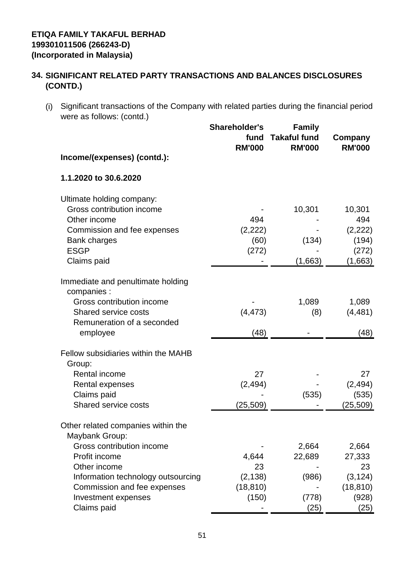(i) Significant transactions of the Company with related parties during the financial period were as follows: (contd.)

| Income/(expenses) (contd.):                                                                                                                                | <b>Shareholder's</b><br>fund<br><b>RM'000</b> | <b>Family</b><br><b>Takaful fund</b><br><b>RM'000</b> | Company<br><b>RM'000</b>                                |
|------------------------------------------------------------------------------------------------------------------------------------------------------------|-----------------------------------------------|-------------------------------------------------------|---------------------------------------------------------|
| 1.1.2020 to 30.6.2020                                                                                                                                      |                                               |                                                       |                                                         |
| Ultimate holding company:<br>Gross contribution income<br>Other income<br>Commission and fee expenses<br><b>Bank charges</b><br><b>ESGP</b><br>Claims paid | 494<br>(2,222)<br>(60)<br>(272)               | 10,301<br>(134)<br>(1,663)                            | 10,301<br>494<br>(2, 222)<br>(194)<br>(272)<br>(1,663)  |
| Immediate and penultimate holding<br>companies :                                                                                                           |                                               |                                                       |                                                         |
| Gross contribution income<br><b>Shared service costs</b><br>Remuneration of a seconded<br>employee                                                         | (4, 473)<br>(48)                              | 1,089<br>(8)                                          | 1,089<br>(4, 481)<br>(48)                               |
| Fellow subsidiaries within the MAHB<br>Group:                                                                                                              |                                               |                                                       |                                                         |
| Rental income<br>Rental expenses<br>Claims paid<br><b>Shared service costs</b>                                                                             | 27<br>(2, 494)<br>(25, 509)                   | (535)                                                 | 27<br>(2, 494)<br>(535)<br>(25, 509)                    |
| Other related companies within the<br>Maybank Group:                                                                                                       |                                               |                                                       |                                                         |
| Gross contribution income<br>Profit income<br>Other income<br>Information technology outsourcing<br>Commission and fee expenses<br>Investment expenses     | 4,644<br>23<br>(2, 138)<br>(18, 810)<br>(150) | 2,664<br>22,689<br>(986)<br>(778)                     | 2,664<br>27,333<br>23<br>(3, 124)<br>(18, 810)<br>(928) |
| Claims paid                                                                                                                                                |                                               | (25)                                                  | (25)                                                    |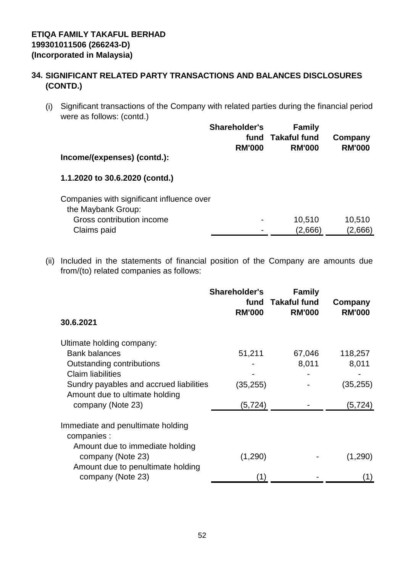(i) Significant transactions of the Company with related parties during the financial period were as follows: (contd.)

|                                                                 | <b>Shareholder's</b><br>fund<br><b>RM'000</b> | <b>Family</b><br><b>Takaful fund</b><br><b>RM'000</b> | Company<br><b>RM'000</b> |
|-----------------------------------------------------------------|-----------------------------------------------|-------------------------------------------------------|--------------------------|
| Income/(expenses) (contd.):                                     |                                               |                                                       |                          |
| 1.1.2020 to 30.6.2020 (contd.)                                  |                                               |                                                       |                          |
| Companies with significant influence over<br>the Maybank Group: |                                               |                                                       |                          |
| Gross contribution income                                       |                                               | 10,510                                                | 10,510                   |
| Claims paid                                                     |                                               | (2,666)                                               | (2,666)                  |

(ii) Included in the statements of financial position of the Company are amounts due from/(to) related companies as follows:

|                                                                           | <b>Shareholder's</b><br>fund<br><b>RM'000</b> | <b>Family</b><br><b>Takaful fund</b><br><b>RM'000</b> | Company<br><b>RM'000</b> |
|---------------------------------------------------------------------------|-----------------------------------------------|-------------------------------------------------------|--------------------------|
| 30.6.2021                                                                 |                                               |                                                       |                          |
| Ultimate holding company:                                                 |                                               |                                                       |                          |
| <b>Bank balances</b>                                                      | 51,211                                        | 67,046                                                | 118,257                  |
| Outstanding contributions                                                 |                                               | 8,011                                                 | 8,011                    |
| <b>Claim liabilities</b>                                                  |                                               |                                                       |                          |
| Sundry payables and accrued liabilities<br>Amount due to ultimate holding | (35,255)                                      |                                                       | (35, 255)                |
| company (Note 23)                                                         | (5, 724)                                      |                                                       | (5, 724)                 |
| Immediate and penultimate holding<br>companies :                          |                                               |                                                       |                          |
| Amount due to immediate holding<br>company (Note 23)                      | (1,290)                                       |                                                       | (1,290)                  |
| Amount due to penultimate holding<br>company (Note 23)                    | (1)                                           |                                                       |                          |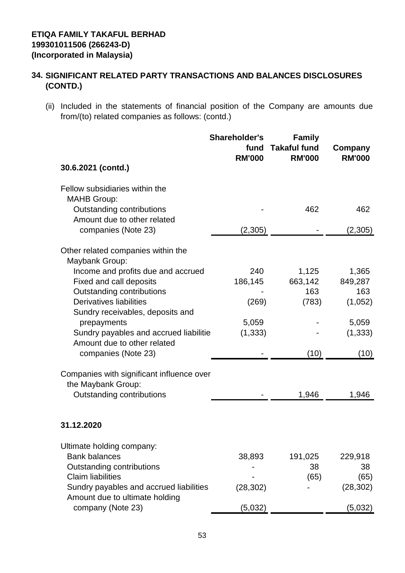(ii) Included in the statements of financial position of the Company are amounts due from/(to) related companies as follows: (contd.)

| 30.6.2021 (contd.)                                                        | Shareholder's<br>fund<br><b>RM'000</b> | <b>Family</b><br><b>Takaful fund</b><br><b>RM'000</b> | Company<br><b>RM'000</b> |
|---------------------------------------------------------------------------|----------------------------------------|-------------------------------------------------------|--------------------------|
| Fellow subsidiaries within the                                            |                                        |                                                       |                          |
| <b>MAHB Group:</b><br>Outstanding contributions                           |                                        | 462                                                   | 462                      |
| Amount due to other related<br>companies (Note 23)                        | (2,305)                                |                                                       | (2,305)                  |
| Other related companies within the<br>Maybank Group:                      |                                        |                                                       |                          |
| Income and profits due and accrued                                        | 240                                    | 1,125                                                 | 1,365                    |
| Fixed and call deposits                                                   | 186,145                                | 663,142                                               | 849,287                  |
| <b>Outstanding contributions</b>                                          |                                        | 163                                                   | 163                      |
| <b>Derivatives liabilities</b>                                            | (269)                                  | (783)                                                 | (1,052)                  |
| Sundry receivables, deposits and                                          |                                        |                                                       |                          |
| prepayments                                                               | 5,059                                  |                                                       | 5,059                    |
| Sundry payables and accrued liabilitie                                    | (1, 333)                               |                                                       | (1, 333)                 |
| Amount due to other related<br>companies (Note 23)                        |                                        | (10)                                                  | (10)                     |
| Companies with significant influence over<br>the Maybank Group:           |                                        |                                                       |                          |
| Outstanding contributions                                                 |                                        | 1,946                                                 | 1,946                    |
| 31.12.2020                                                                |                                        |                                                       |                          |
| Ultimate holding company:                                                 |                                        |                                                       |                          |
| <b>Bank balances</b>                                                      | 38,893                                 | 191,025                                               | 229,918                  |
| Outstanding contributions                                                 |                                        | 38                                                    | 38                       |
| <b>Claim liabilities</b>                                                  |                                        | (65)                                                  | (65)                     |
| Sundry payables and accrued liabilities<br>Amount due to ultimate holding | (28, 302)                              |                                                       | (28, 302)                |
| company (Note 23)                                                         | (5,032)                                |                                                       | (5,032)                  |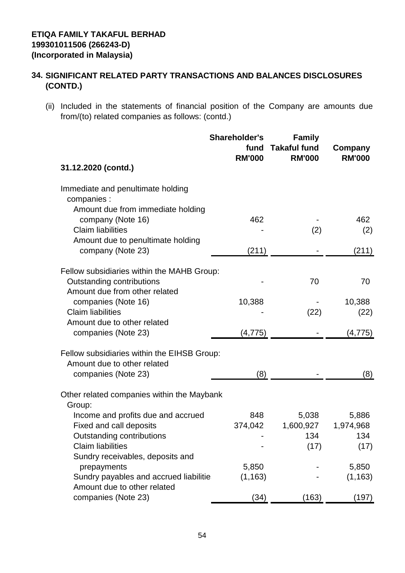(ii) Included in the statements of financial position of the Company are amounts due from/(to) related companies as follows: (contd.)

| 31.12.2020 (contd.)                                                        | <b>Shareholder's</b><br>fund<br><b>RM'000</b> | <b>Family</b><br><b>Takaful fund</b><br><b>RM'000</b> | Company<br><b>RM'000</b> |
|----------------------------------------------------------------------------|-----------------------------------------------|-------------------------------------------------------|--------------------------|
|                                                                            |                                               |                                                       |                          |
| Immediate and penultimate holding<br>companies :                           |                                               |                                                       |                          |
| Amount due from immediate holding                                          |                                               |                                                       |                          |
| company (Note 16)                                                          | 462                                           |                                                       | 462                      |
| <b>Claim liabilities</b>                                                   |                                               | (2)                                                   | (2)                      |
| Amount due to penultimate holding<br>company (Note 23)                     | (211)                                         |                                                       | (211)                    |
|                                                                            |                                               |                                                       |                          |
| Fellow subsidiaries within the MAHB Group:                                 |                                               |                                                       |                          |
| Outstanding contributions                                                  |                                               | 70                                                    | 70                       |
| Amount due from other related                                              |                                               |                                                       |                          |
| companies (Note 16)<br><b>Claim liabilities</b>                            | 10,388                                        | (22)                                                  | 10,388<br>(22)           |
| Amount due to other related                                                |                                               |                                                       |                          |
| companies (Note 23)                                                        | (4, 775)                                      |                                                       | (4, 775)                 |
|                                                                            |                                               |                                                       |                          |
| Fellow subsidiaries within the EIHSB Group:<br>Amount due to other related |                                               |                                                       |                          |
| companies (Note 23)                                                        | (8)                                           |                                                       | (8)                      |
|                                                                            |                                               |                                                       |                          |
| Other related companies within the Maybank                                 |                                               |                                                       |                          |
| Group:<br>Income and profits due and accrued                               | 848                                           | 5,038                                                 | 5,886                    |
| Fixed and call deposits                                                    | 374,042                                       | 1,600,927                                             | 1,974,968                |
| Outstanding contributions                                                  |                                               | 134                                                   | 134                      |
| <b>Claim liabilities</b>                                                   |                                               | (17)                                                  | (17)                     |
| Sundry receivables, deposits and                                           |                                               |                                                       |                          |
| prepayments                                                                | 5,850                                         |                                                       | 5,850                    |
| Sundry payables and accrued liabilitie<br>Amount due to other related      | (1, 163)                                      |                                                       | (1, 163)                 |
| companies (Note 23)                                                        | (34)                                          | (163)                                                 | (197)                    |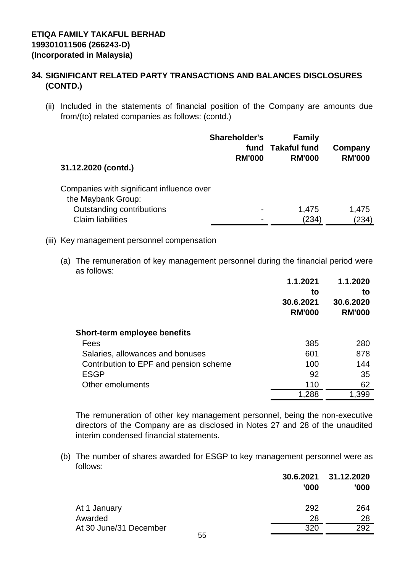(ii) Included in the statements of financial position of the Company are amounts due from/(to) related companies as follows: (contd.)

| 31.12.2020 (contd.)                       | <b>Shareholder's</b><br>fund<br><b>RM'000</b> | <b>Family</b><br><b>Takaful fund</b><br><b>RM'000</b> | Company<br><b>RM'000</b> |
|-------------------------------------------|-----------------------------------------------|-------------------------------------------------------|--------------------------|
| Companies with significant influence over |                                               |                                                       |                          |
| the Maybank Group:                        |                                               |                                                       |                          |
| Outstanding contributions                 |                                               | 1,475                                                 | 1,475                    |
| <b>Claim liabilities</b>                  |                                               | (234)                                                 | (234)                    |

#### (iii) Key management personnel compensation

(a) The remuneration of key management personnel during the financial period were as follows:

|                                        | 1.1.2021                         | 1.1.2020<br>to             |
|----------------------------------------|----------------------------------|----------------------------|
|                                        | to<br>30.6.2021<br><b>RM'000</b> | 30.6.2020<br><b>RM'000</b> |
| <b>Short-term employee benefits</b>    |                                  |                            |
| Fees                                   | 385                              | 280                        |
| Salaries, allowances and bonuses       | 601                              | 878                        |
| Contribution to EPF and pension scheme | 100                              | 144                        |
| <b>ESGP</b>                            | 92                               | 35                         |
| Other emoluments                       | 110                              | 62                         |
|                                        | 1,288                            | 1,399                      |

The remuneration of other key management personnel, being the non-executive directors of the Company are as disclosed in Notes 27 and 28 of the unaudited interim condensed financial statements.

(b) The number of shares awarded for ESGP to key management personnel were as follows:

|                        | 30.6.2021<br>'000 | 31.12.2020<br>'000 |
|------------------------|-------------------|--------------------|
| At 1 January           | 292               | 264                |
| Awarded                | 28                | 28                 |
| At 30 June/31 December | 320               | 292                |
| 55                     |                   |                    |